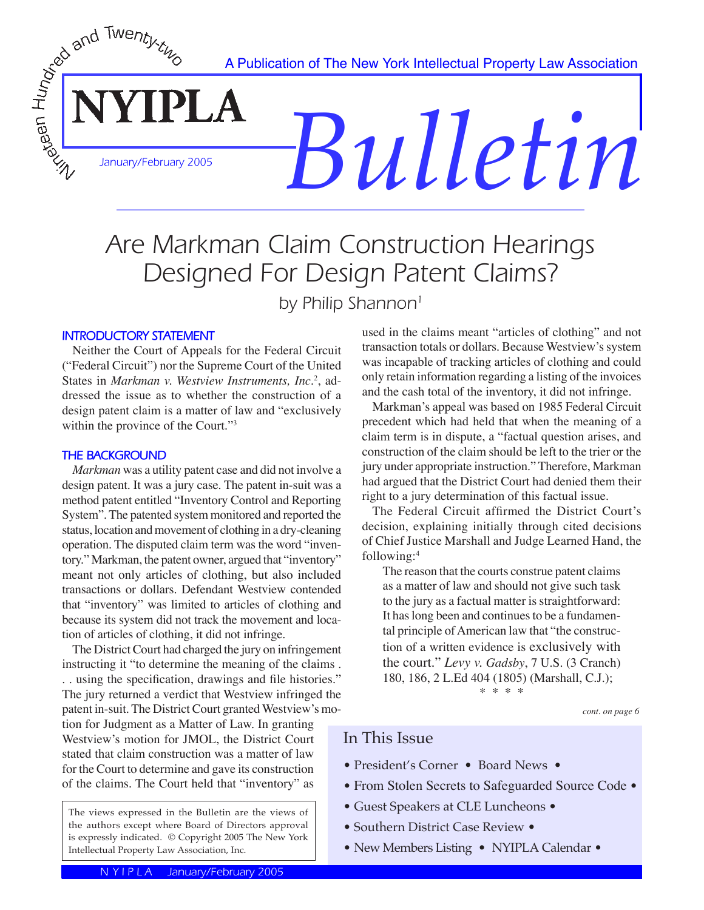A Publication of The New York Intellectual Property Law Association

*Bulletin*

# Are Markman Claim Construction Hearings Designed For Design Patent Claims?

by Philip Shannon<sup>1</sup>

#### **INTRODUCTORY STATEMENT**

WEDEVERY TO THE REAL BOOM CONTROLL

 Neither the Court of Appeals for the Federal Circuit ("Federal Circuit") nor the Supreme Court of the United States in *Markman v. Westview Instruments, Inc.<sup>2</sup>, ad*dressed the issue as to whether the construction of a design patent claim is a matter of law and "exclusively within the province of the Court."<sup>3</sup>

**PLA** 

#### **THE BACKGROUND**

*Markman* was a utility patent case and did not involve a design patent. It was a jury case. The patent in-suit was a method patent entitled "Inventory Control and Reporting System". The patented system monitored and reported the status, location and movement of clothing in a dry-cleaning operation. The disputed claim term was the word "inventory." Markman, the patent owner, argued that "inventory" meant not only articles of clothing, but also included transactions or dollars. Defendant Westview contended that "inventory" was limited to articles of clothing and because its system did not track the movement and location of articles of clothing, it did not infringe.

 The District Court had charged the jury on infringement instructing it "to determine the meaning of the claims . . . using the specification, drawings and file histories." The jury returned a verdict that Westview infringed the patent in-suit. The District Court granted Westview's mo-

tion for Judgment as a Matter of Law. In granting Westview's motion for JMOL, the District Court stated that claim construction was a matter of law for the Court to determine and gave its construction of the claims. The Court held that "inventory" as

The views expressed in the Bulletin are the views of the authors except where Board of Directors approval is expressly indicated. © Copyright 2005 The New York Intellectual Property Law Association, Inc.

used in the claims meant "articles of clothing" and not transaction totals or dollars. Because Westview's system was incapable of tracking articles of clothing and could only retain information regarding a listing of the invoices and the cash total of the inventory, it did not infringe.

 Markman's appeal was based on 1985 Federal Circuit precedent which had held that when the meaning of a claim term is in dispute, a "factual question arises, and construction of the claim should be left to the trier or the jury under appropriate instruction." Therefore, Markman had argued that the District Court had denied them their right to a jury determination of this factual issue.

 The Federal Circuit affirmed the District Court's decision, explaining initially through cited decisions of Chief Justice Marshall and Judge Learned Hand, the following:<sup>4</sup>

The reason that the courts construe patent claims as a matter of law and should not give such task to the jury as a factual matter is straightforward: It has long been and continues to be a fundamental principle of American law that "the construction of a written evidence is exclusively with the court." *Levy v. Gadsby*, 7 U.S. (3 Cranch) 180, 186, 2 L.Ed 404 (1805) (Marshall, C.J.); \* \* \* \*

*cont. on page 6*

## In This Issue

- President's Corner Board News •
- From Stolen Secrets to Safeguarded Source Code •
- Guest Speakers at CLE Luncheons •
- Southern District Case Review •
- New Members Listing NYIPLA Calendar •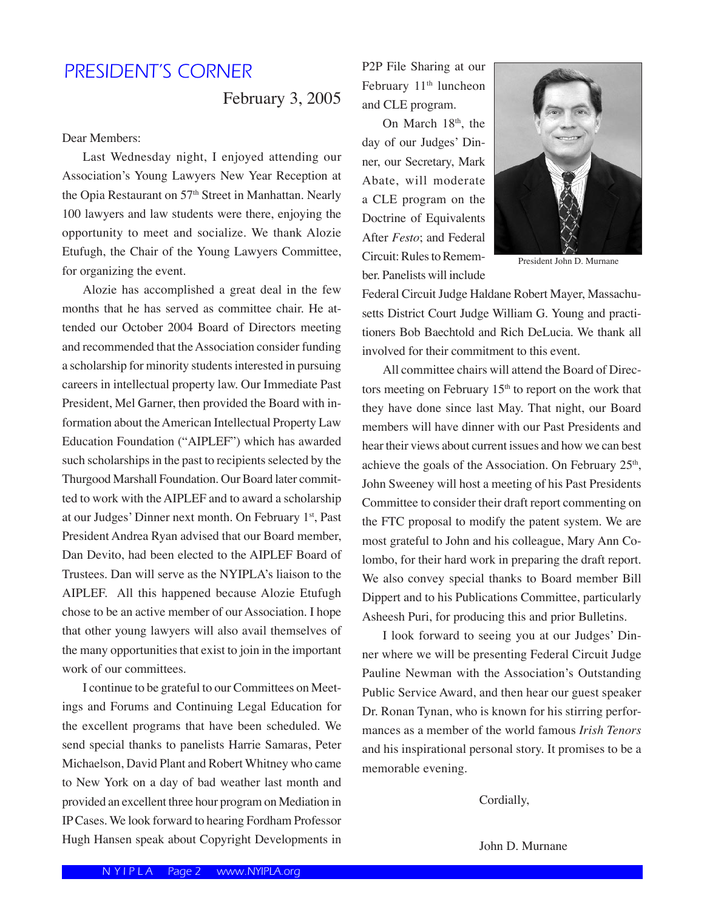# PRESIDENT'S CORNER

February 3, 2005

Dear Members:

 Last Wednesday night, I enjoyed attending our Association's Young Lawyers New Year Reception at the Opia Restaurant on 57<sup>th</sup> Street in Manhattan. Nearly 100 lawyers and law students were there, enjoying the opportunity to meet and socialize. We thank Alozie Etufugh, the Chair of the Young Lawyers Committee, for organizing the event.

 Alozie has accomplished a great deal in the few months that he has served as committee chair. He attended our October 2004 Board of Directors meeting and recommended that the Association consider funding a scholarship for minority students interested in pursuing careers in intellectual property law. Our Immediate Past President, Mel Garner, then provided the Board with information about the American Intellectual Property Law Education Foundation ("AIPLEF") which has awarded such scholarships in the past to recipients selected by the Thurgood Marshall Foundation. Our Board later committed to work with the AIPLEF and to award a scholarship at our Judges' Dinner next month. On February 1st, Past President Andrea Ryan advised that our Board member, Dan Devito, had been elected to the AIPLEF Board of Trustees. Dan will serve as the NYIPLA's liaison to the AIPLEF. All this happened because Alozie Etufugh chose to be an active member of our Association. I hope that other young lawyers will also avail themselves of the many opportunities that exist to join in the important work of our committees.

 I continue to be grateful to our Committees on Meetings and Forums and Continuing Legal Education for the excellent programs that have been scheduled. We send special thanks to panelists Harrie Samaras, Peter Michaelson, David Plant and Robert Whitney who came to New York on a day of bad weather last month and provided an excellent three hour program on Mediation in IP Cases. We look forward to hearing Fordham Professor Hugh Hansen speak about Copyright Developments in

P2P File Sharing at our February 11<sup>th</sup> luncheon and CLE program.

On March 18<sup>th</sup>, the day of our Judges' Dinner, our Secretary, Mark Abate, will moderate a CLE program on the Doctrine of Equivalents After *Festo*; and Federal Circuit: Rules to Remember. Panelists will include



President John D. Murnane

Federal Circuit Judge Haldane Robert Mayer, Massachusetts District Court Judge William G. Young and practitioners Bob Baechtold and Rich DeLucia. We thank all involved for their commitment to this event.

 All committee chairs will attend the Board of Directors meeting on February 15<sup>th</sup> to report on the work that they have done since last May. That night, our Board members will have dinner with our Past Presidents and hear their views about current issues and how we can best achieve the goals of the Association. On February 25<sup>th</sup>, John Sweeney will host a meeting of his Past Presidents Committee to consider their draft report commenting on the FTC proposal to modify the patent system. We are most grateful to John and his colleague, Mary Ann Colombo, for their hard work in preparing the draft report. We also convey special thanks to Board member Bill Dippert and to his Publications Committee, particularly Asheesh Puri, for producing this and prior Bulletins.

 I look forward to seeing you at our Judges' Dinner where we will be presenting Federal Circuit Judge Pauline Newman with the Association's Outstanding Public Service Award, and then hear our guest speaker Dr. Ronan Tynan, who is known for his stirring performances as a member of the world famous *Irish Tenors* and his inspirational personal story. It promises to be a memorable evening.

Cordially,

John D. Murnane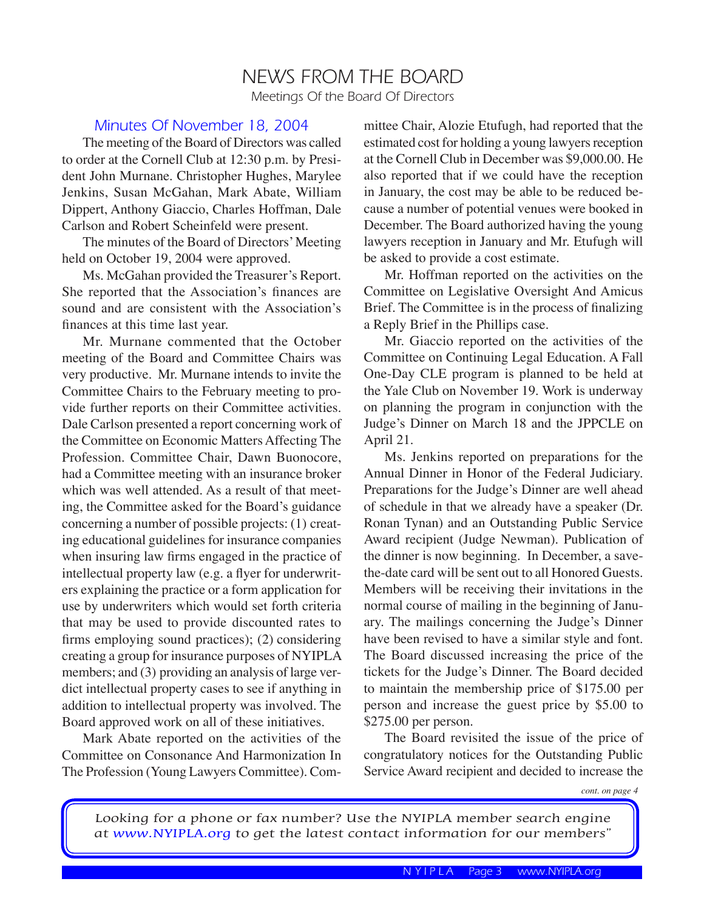# NEWS FROM THE BOARD Meetings Of the Board Of Directors

#### Minutes Of November 18, 2004

The meeting of the Board of Directors was called to order at the Cornell Club at 12:30 p.m. by President John Murnane. Christopher Hughes, Marylee Jenkins, Susan McGahan, Mark Abate, William Dippert, Anthony Giaccio, Charles Hoffman, Dale Carlson and Robert Scheinfeld were present.

 The minutes of the Board of Directors' Meeting held on October 19, 2004 were approved.

 Ms. McGahan provided the Treasurer's Report. She reported that the Association's finances are sound and are consistent with the Association's finances at this time last year.

 Mr. Murnane commented that the October meeting of the Board and Committee Chairs was very productive. Mr. Murnane intends to invite the Committee Chairs to the February meeting to provide further reports on their Committee activities. Dale Carlson presented a report concerning work of the Committee on Economic Matters Affecting The Profession. Committee Chair, Dawn Buonocore, had a Committee meeting with an insurance broker which was well attended. As a result of that meeting, the Committee asked for the Board's guidance concerning a number of possible projects: (1) creating educational guidelines for insurance companies when insuring law firms engaged in the practice of intellectual property law (e.g. a flyer for underwriters explaining the practice or a form application for use by underwriters which would set forth criteria that may be used to provide discounted rates to firms employing sound practices); (2) considering creating a group for insurance purposes of NYIPLA members; and (3) providing an analysis of large verdict intellectual property cases to see if anything in addition to intellectual property was involved. The Board approved work on all of these initiatives.

 Mark Abate reported on the activities of the Committee on Consonance And Harmonization In The Profession (Young Lawyers Committee). Committee Chair, Alozie Etufugh, had reported that the estimated cost for holding a young lawyers reception at the Cornell Club in December was \$9,000.00. He also reported that if we could have the reception in January, the cost may be able to be reduced because a number of potential venues were booked in December. The Board authorized having the young lawyers reception in January and Mr. Etufugh will be asked to provide a cost estimate.

 Mr. Hoffman reported on the activities on the Committee on Legislative Oversight And Amicus Brief. The Committee is in the process of finalizing a Reply Brief in the Phillips case.

 Mr. Giaccio reported on the activities of the Committee on Continuing Legal Education. A Fall One-Day CLE program is planned to be held at the Yale Club on November 19. Work is underway on planning the program in conjunction with the Judge's Dinner on March 18 and the JPPCLE on April 21.

 Ms. Jenkins reported on preparations for the Annual Dinner in Honor of the Federal Judiciary. Preparations for the Judge's Dinner are well ahead of schedule in that we already have a speaker (Dr. Ronan Tynan) and an Outstanding Public Service Award recipient (Judge Newman). Publication of the dinner is now beginning. In December, a savethe-date card will be sent out to all Honored Guests. Members will be receiving their invitations in the normal course of mailing in the beginning of January. The mailings concerning the Judge's Dinner have been revised to have a similar style and font. The Board discussed increasing the price of the tickets for the Judge's Dinner. The Board decided to maintain the membership price of \$175.00 per person and increase the guest price by \$5.00 to \$275.00 per person.

 The Board revisited the issue of the price of congratulatory notices for the Outstanding Public Service Award recipient and decided to increase the

*cont. on page 4*

Looking for a phone or fax number? Use the NYIPLA member search engine at www.NYIPLA.org to get the latest contact information for our members"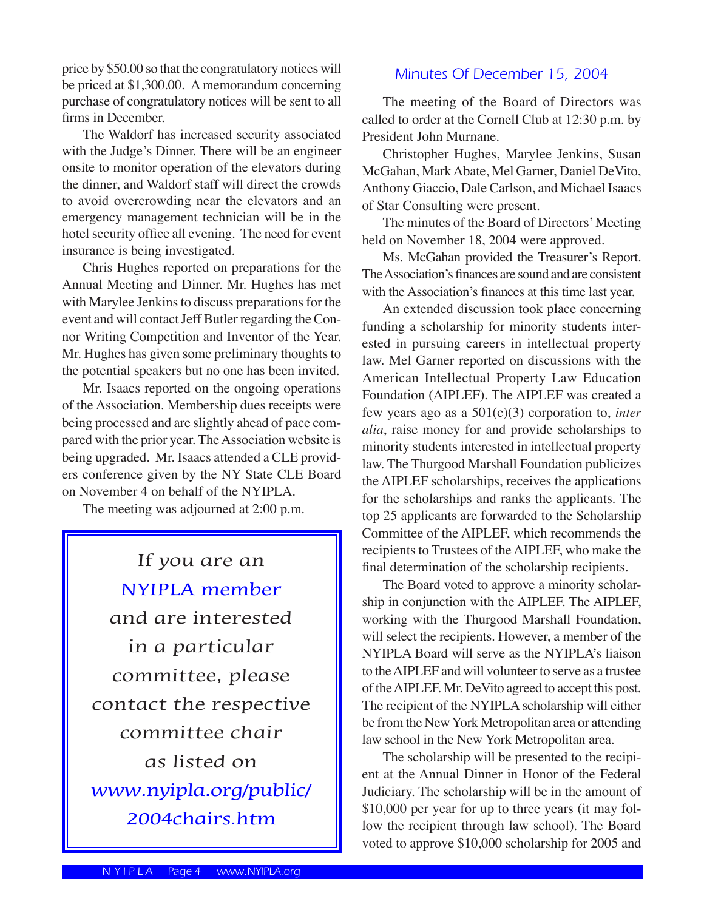price by \$50.00 so that the congratulatory notices will be priced at \$1,300.00. A memorandum concerning purchase of congratulatory notices will be sent to all firms in December.

 The Waldorf has increased security associated with the Judge's Dinner. There will be an engineer onsite to monitor operation of the elevators during the dinner, and Waldorf staff will direct the crowds to avoid overcrowding near the elevators and an emergency management technician will be in the hotel security office all evening. The need for event insurance is being investigated.

 Chris Hughes reported on preparations for the Annual Meeting and Dinner. Mr. Hughes has met with Marylee Jenkins to discuss preparations for the event and will contact Jeff Butler regarding the Connor Writing Competition and Inventor of the Year. Mr. Hughes has given some preliminary thoughts to the potential speakers but no one has been invited.

 Mr. Isaacs reported on the ongoing operations of the Association. Membership dues receipts were being processed and are slightly ahead of pace compared with the prior year. The Association website is being upgraded. Mr. Isaacs attended a CLE providers conference given by the NY State CLE Board on November 4 on behalf of the NYIPLA.

The meeting was adjourned at 2:00 p.m.

If you are an NYIPLA member and are interested in a particular committee, please contact the respective committee chair as listed on www.nyipla.org/public/ 2004chairs.htm

#### Minutes Of December 15, 2004

 The meeting of the Board of Directors was called to order at the Cornell Club at 12:30 p.m. by President John Murnane.

 Christopher Hughes, Marylee Jenkins, Susan McGahan, Mark Abate, Mel Garner, Daniel DeVito, Anthony Giaccio, Dale Carlson, and Michael Isaacs of Star Consulting were present.

 The minutes of the Board of Directors' Meeting held on November 18, 2004 were approved.

 Ms. McGahan provided the Treasurer's Report. The Association's finances are sound and are consistent with the Association's finances at this time last year.

 An extended discussion took place concerning funding a scholarship for minority students interested in pursuing careers in intellectual property law. Mel Garner reported on discussions with the American Intellectual Property Law Education Foundation (AIPLEF). The AIPLEF was created a few years ago as a 501(c)(3) corporation to, *inter alia*, raise money for and provide scholarships to minority students interested in intellectual property law. The Thurgood Marshall Foundation publicizes the AIPLEF scholarships, receives the applications for the scholarships and ranks the applicants. The top 25 applicants are forwarded to the Scholarship Committee of the AIPLEF, which recommends the recipients to Trustees of the AIPLEF, who make the final determination of the scholarship recipients.

 The Board voted to approve a minority scholarship in conjunction with the AIPLEF. The AIPLEF, working with the Thurgood Marshall Foundation, will select the recipients. However, a member of the NYIPLA Board will serve as the NYIPLA's liaison to the AIPLEF and will volunteer to serve as a trustee of the AIPLEF. Mr. DeVito agreed to accept this post. The recipient of the NYIPLA scholarship will either be from the New York Metropolitan area or attending law school in the New York Metropolitan area.

 The scholarship will be presented to the recipient at the Annual Dinner in Honor of the Federal Judiciary. The scholarship will be in the amount of \$10,000 per year for up to three years (it may follow the recipient through law school). The Board voted to approve \$10,000 scholarship for 2005 and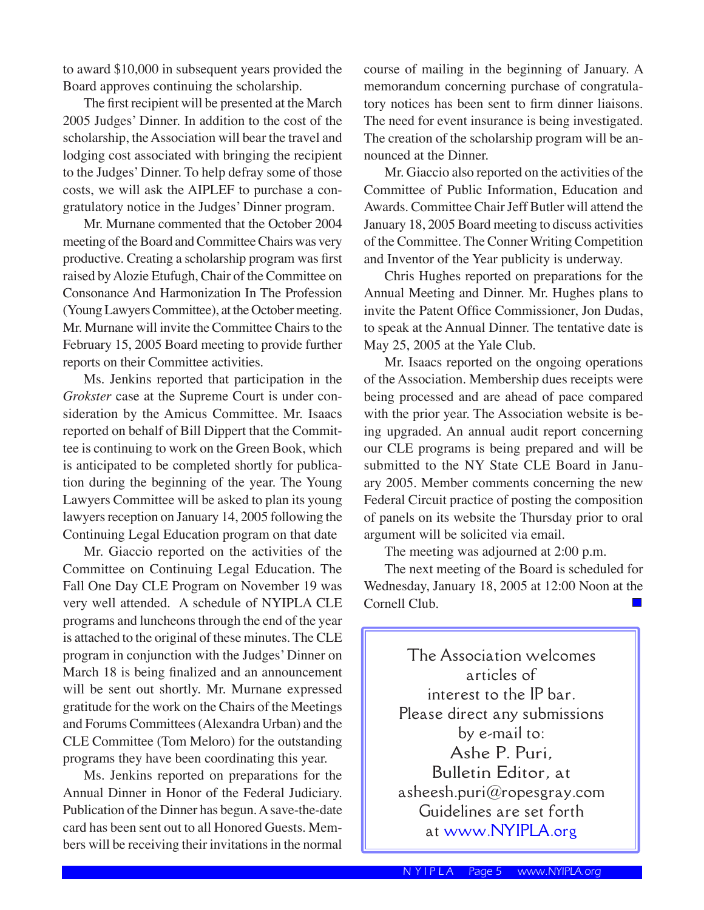to award \$10,000 in subsequent years provided the Board approves continuing the scholarship.

 The first recipient will be presented at the March 2005 Judges' Dinner. In addition to the cost of the scholarship, the Association will bear the travel and lodging cost associated with bringing the recipient to the Judges' Dinner. To help defray some of those costs, we will ask the AIPLEF to purchase a congratulatory notice in the Judges' Dinner program.

 Mr. Murnane commented that the October 2004 meeting of the Board and Committee Chairs was very productive. Creating a scholarship program was first raised by Alozie Etufugh, Chair of the Committee on Consonance And Harmonization In The Profession (Young Lawyers Committee), at the October meeting. Mr. Murnane will invite the Committee Chairs to the February 15, 2005 Board meeting to provide further reports on their Committee activities.

 Ms. Jenkins reported that participation in the *Grokster* case at the Supreme Court is under consideration by the Amicus Committee. Mr. Isaacs reported on behalf of Bill Dippert that the Committee is continuing to work on the Green Book, which is anticipated to be completed shortly for publication during the beginning of the year. The Young Lawyers Committee will be asked to plan its young lawyers reception on January 14, 2005 following the Continuing Legal Education program on that date

 Mr. Giaccio reported on the activities of the Committee on Continuing Legal Education. The Fall One Day CLE Program on November 19 was very well attended. A schedule of NYIPLA CLE programs and luncheons through the end of the year is attached to the original of these minutes. The CLE program in conjunction with the Judges' Dinner on March 18 is being finalized and an announcement will be sent out shortly. Mr. Murnane expressed gratitude for the work on the Chairs of the Meetings and Forums Committees (Alexandra Urban) and the CLE Committee (Tom Meloro) for the outstanding programs they have been coordinating this year.

 Ms. Jenkins reported on preparations for the Annual Dinner in Honor of the Federal Judiciary. Publication of the Dinner has begun. A save-the-date card has been sent out to all Honored Guests. Members will be receiving their invitations in the normal

course of mailing in the beginning of January. A memorandum concerning purchase of congratulatory notices has been sent to firm dinner liaisons. The need for event insurance is being investigated. The creation of the scholarship program will be announced at the Dinner.

 Mr. Giaccio also reported on the activities of the Committee of Public Information, Education and Awards. Committee Chair Jeff Butler will attend the January 18, 2005 Board meeting to discuss activities of the Committee. The Conner Writing Competition and Inventor of the Year publicity is underway.

 Chris Hughes reported on preparations for the Annual Meeting and Dinner. Mr. Hughes plans to invite the Patent Office Commissioner, Jon Dudas, to speak at the Annual Dinner. The tentative date is May 25, 2005 at the Yale Club.

 Mr. Isaacs reported on the ongoing operations of the Association. Membership dues receipts were being processed and are ahead of pace compared with the prior year. The Association website is being upgraded. An annual audit report concerning our CLE programs is being prepared and will be submitted to the NY State CLE Board in January 2005. Member comments concerning the new Federal Circuit practice of posting the composition of panels on its website the Thursday prior to oral argument will be solicited via email.

The meeting was adjourned at 2:00 p.m.

 The next meeting of the Board is scheduled for Wednesday, January 18, 2005 at 12:00 Noon at the Cornell Club.**Tale** 

> The Association welcomes articles of interest to the IP bar. Please direct any submissions by e-mail to: Ashe P. Puri, Bulletin Editor, at asheesh.puri $@$ ropesgray.com Guidelines are set forth at www.NYIPLA.org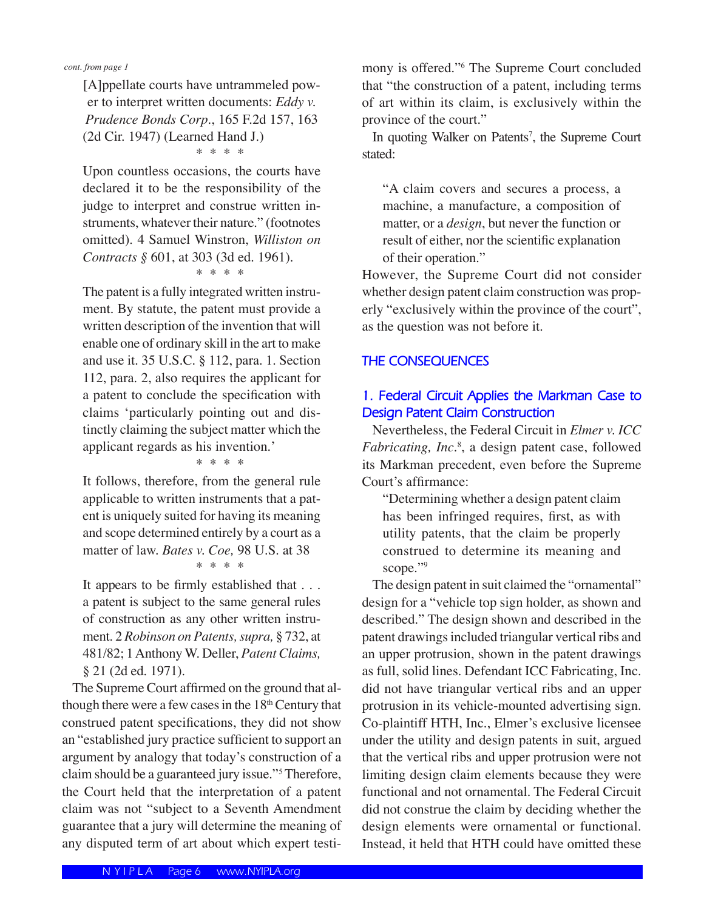*cont. from page 1*

[A]ppellate courts have untrammeled power to interpret written documents: *Eddy v. Prudence Bonds Corp.*, 165 F.2d 157, 163 (2d Cir. 1947) (Learned Hand J.)

\* \* \* \*

Upon countless occasions, the courts have declared it to be the responsibility of the judge to interpret and construe written instruments, whatever their nature." (footnotes omitted). 4 Samuel Winstron, *Williston on Contracts* § 601, at 303 (3d ed. 1961).

\* \* \* \*

The patent is a fully integrated written instrument. By statute, the patent must provide a written description of the invention that will enable one of ordinary skill in the art to make and use it. 35 U.S.C. § 112, para. 1. Section 112, para. 2, also requires the applicant for a patent to conclude the specification with claims ʻparticularly pointing out and distinctly claiming the subject matter which the applicant regards as his invention.'

#### \* \* \* \*

It follows, therefore, from the general rule applicable to written instruments that a patent is uniquely suited for having its meaning and scope determined entirely by a court as a matter of law. *Bates v. Coe,* 98 U.S. at 38 \* \* \* \*

It appears to be firmly established that . . . a patent is subject to the same general rules of construction as any other written instrument. 2 *Robinson on Patents, supra,* § 732, at 481/82; 1 Anthony W. Deller, *Patent Claims,*  § 21 (2d ed. 1971).

 The Supreme Court affirmed on the ground that although there were a few cases in the 18<sup>th</sup> Century that construed patent specifications, they did not show an "established jury practice sufficient to support an argument by analogy that today's construction of a claim should be a guaranteed jury issue."<sup>5</sup> Therefore, the Court held that the interpretation of a patent claim was not "subject to a Seventh Amendment guarantee that a jury will determine the meaning of any disputed term of art about which expert testi-

mony is offered."<sup>6</sup> The Supreme Court concluded that "the construction of a patent, including terms of art within its claim, is exclusively within the province of the court."

In quoting Walker on Patents<sup>7</sup>, the Supreme Court stated:

"A claim covers and secures a process, a machine, a manufacture, a composition of matter, or a *design*, but never the function or result of either, nor the scientific explanation of their operation."

However, the Supreme Court did not consider whether design patent claim construction was properly "exclusively within the province of the court", as the question was not before it.

#### **THE CONSEQUENCES**

#### **1. Federal Circuit Applies the Markman Case to Design Patent Claim Construction**

 Nevertheless, the Federal Circuit in *Elmer v. ICC Fabricating, Inc.*<sup>8</sup> , a design patent case, followed its Markman precedent, even before the Supreme Court's affirmance:

"Determining whether a design patent claim has been infringed requires, first, as with utility patents, that the claim be properly construed to determine its meaning and scope."9

 The design patent in suit claimed the "ornamental" design for a "vehicle top sign holder, as shown and described." The design shown and described in the patent drawings included triangular vertical ribs and an upper protrusion, shown in the patent drawings as full, solid lines. Defendant ICC Fabricating, Inc. did not have triangular vertical ribs and an upper protrusion in its vehicle-mounted advertising sign. Co-plaintiff HTH, Inc., Elmer's exclusive licensee under the utility and design patents in suit, argued that the vertical ribs and upper protrusion were not limiting design claim elements because they were functional and not ornamental. The Federal Circuit did not construe the claim by deciding whether the design elements were ornamental or functional. Instead, it held that HTH could have omitted these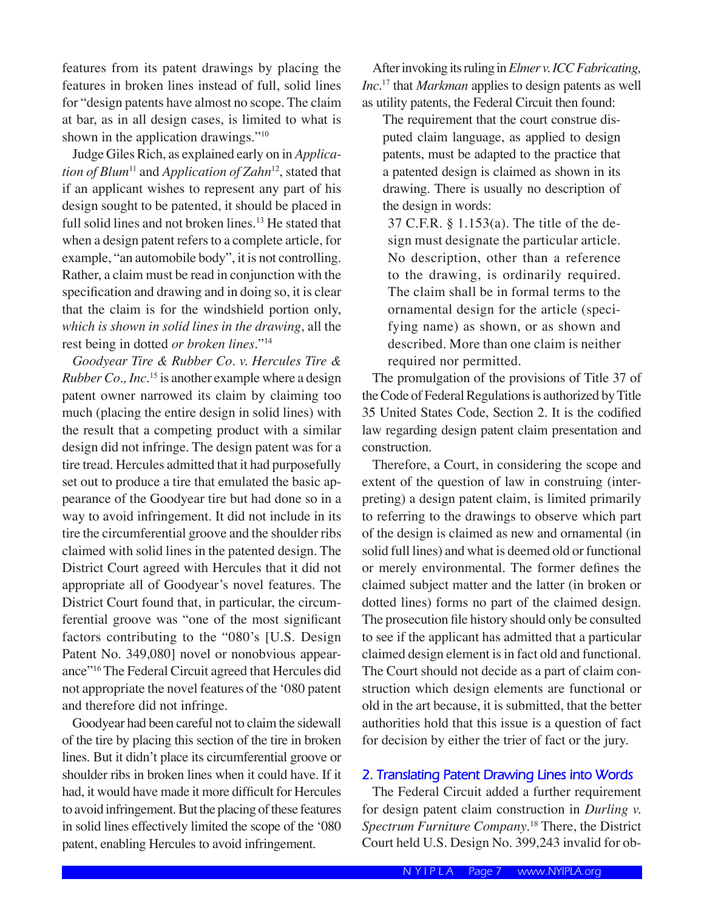features from its patent drawings by placing the features in broken lines instead of full, solid lines for "design patents have almost no scope. The claim at bar, as in all design cases, is limited to what is shown in the application drawings."<sup>10</sup>

 Judge Giles Rich, as explained early on in *Application of Blum*<sup>11</sup> and *Application of Zahn*<sup>12</sup>, stated that if an applicant wishes to represent any part of his design sought to be patented, it should be placed in full solid lines and not broken lines.<sup>13</sup> He stated that when a design patent refers to a complete article, for example, "an automobile body", it is not controlling. Rather, a claim must be read in conjunction with the specification and drawing and in doing so, it is clear that the claim is for the windshield portion only, *which is shown in solid lines in the drawing*, all the rest being in dotted *or broken lines*."<sup>14</sup>

*Goodyear Tire & Rubber Co. v. Hercules Tire & Rubber Co., Inc.*<sup>15</sup> is another example where a design patent owner narrowed its claim by claiming too much (placing the entire design in solid lines) with the result that a competing product with a similar design did not infringe. The design patent was for a tire tread. Hercules admitted that it had purposefully set out to produce a tire that emulated the basic appearance of the Goodyear tire but had done so in a way to avoid infringement. It did not include in its tire the circumferential groove and the shoulder ribs claimed with solid lines in the patented design. The District Court agreed with Hercules that it did not appropriate all of Goodyear's novel features. The District Court found that, in particular, the circumferential groove was "one of the most significant factors contributing to the "080's [U.S. Design Patent No. 349,080] novel or nonobvious appearance"<sup>16</sup> The Federal Circuit agreed that Hercules did not appropriate the novel features of the ʻ080 patent and therefore did not infringe.

 Goodyear had been careful not to claim the sidewall of the tire by placing this section of the tire in broken lines. But it didn't place its circumferential groove or shoulder ribs in broken lines when it could have. If it had, it would have made it more difficult for Hercules to avoid infringement. But the placing of these features in solid lines effectively limited the scope of the ʻ080 patent, enabling Hercules to avoid infringement.

 After invoking its ruling in *Elmer v. ICC Fabricating, Inc.*<sup>17</sup> that *Markman* applies to design patents as well as utility patents, the Federal Circuit then found:

The requirement that the court construe disputed claim language, as applied to design patents, must be adapted to the practice that a patented design is claimed as shown in its drawing. There is usually no description of the design in words:

37 C.F.R. § 1.153(a). The title of the design must designate the particular article. No description, other than a reference to the drawing, is ordinarily required. The claim shall be in formal terms to the ornamental design for the article (specifying name) as shown, or as shown and described. More than one claim is neither required nor permitted.

 The promulgation of the provisions of Title 37 of the Code of Federal Regulations is authorized by Title 35 United States Code, Section 2. It is the codified law regarding design patent claim presentation and construction.

 Therefore, a Court, in considering the scope and extent of the question of law in construing (interpreting) a design patent claim, is limited primarily to referring to the drawings to observe which part of the design is claimed as new and ornamental (in solid full lines) and what is deemed old or functional or merely environmental. The former defines the claimed subject matter and the latter (in broken or dotted lines) forms no part of the claimed design. The prosecution file history should only be consulted to see if the applicant has admitted that a particular claimed design element is in fact old and functional. The Court should not decide as a part of claim construction which design elements are functional or old in the art because, it is submitted, that the better authorities hold that this issue is a question of fact for decision by either the trier of fact or the jury.

#### **2. Translating Patent Drawing Lines into Words**

 The Federal Circuit added a further requirement for design patent claim construction in *Durling v. Spectrum Furniture Company*. <sup>18</sup> There, the District Court held U.S. Design No. 399,243 invalid for ob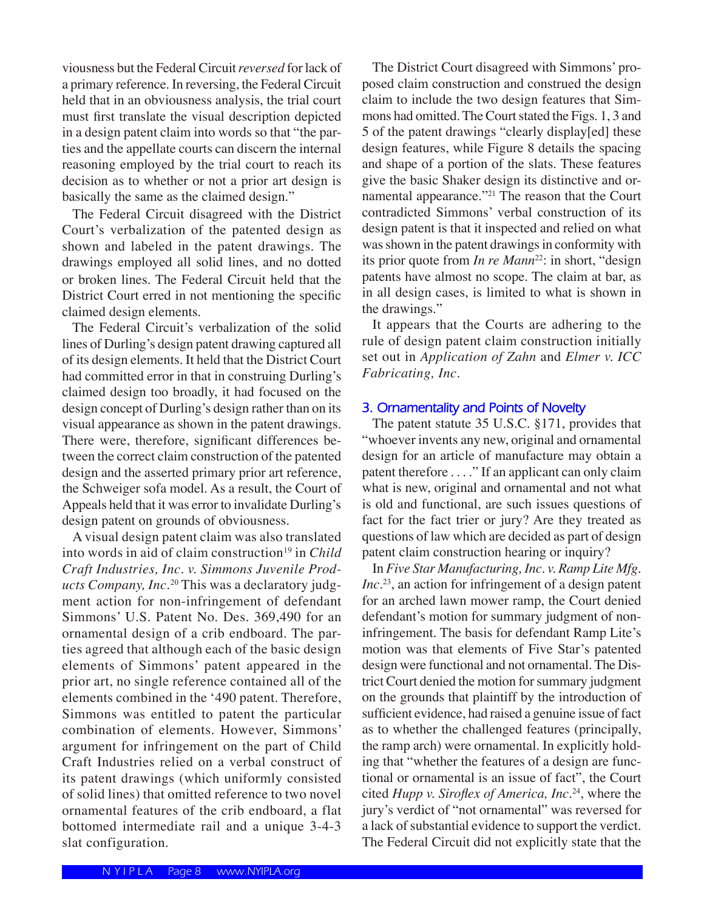viousness but the Federal Circuit *reversed* for lack of a primary reference. In reversing, the Federal Circuit held that in an obviousness analysis, the trial court must first translate the visual description depicted in a design patent claim into words so that "the parties and the appellate courts can discern the internal reasoning employed by the trial court to reach its decision as to whether or not a prior art design is basically the same as the claimed design."

 The Federal Circuit disagreed with the District Court's verbalization of the patented design as shown and labeled in the patent drawings. The drawings employed all solid lines, and no dotted or broken lines. The Federal Circuit held that the District Court erred in not mentioning the specific claimed design elements.

 The Federal Circuit's verbalization of the solid lines of Durling's design patent drawing captured all of its design elements. It held that the District Court had committed error in that in construing Durling's claimed design too broadly, it had focused on the design concept of Durling's design rather than on its visual appearance as shown in the patent drawings. There were, therefore, significant differences between the correct claim construction of the patented design and the asserted primary prior art reference, the Schweiger sofa model. As a result, the Court of Appeals held that it was error to invalidate Durling's design patent on grounds of obviousness.

 A visual design patent claim was also translated into words in aid of claim construction<sup>19</sup> in *Child Craft Industries, Inc. v. Simmons Juvenile Products Company, Inc.*<sup>20</sup> This was a declaratory judgment action for non-infringement of defendant Simmons' U.S. Patent No. Des. 369,490 for an ornamental design of a crib endboard. The parties agreed that although each of the basic design elements of Simmons' patent appeared in the prior art, no single reference contained all of the elements combined in the ʻ490 patent. Therefore, Simmons was entitled to patent the particular combination of elements. However, Simmons' argument for infringement on the part of Child Craft Industries relied on a verbal construct of its patent drawings (which uniformly consisted of solid lines) that omitted reference to two novel ornamental features of the crib endboard, a flat bottomed intermediate rail and a unique 3-4-3 slat configuration.

 The District Court disagreed with Simmons' proposed claim construction and construed the design claim to include the two design features that Simmons had omitted. The Court stated the Figs. 1, 3 and 5 of the patent drawings "clearly display[ed] these design features, while Figure 8 details the spacing and shape of a portion of the slats. These features give the basic Shaker design its distinctive and ornamental appearance."<sup>21</sup> The reason that the Court contradicted Simmons' verbal construction of its design patent is that it inspected and relied on what was shown in the patent drawings in conformity with its prior quote from *In re Mann*<sup>22</sup>: in short, "design patents have almost no scope. The claim at bar, as in all design cases, is limited to what is shown in the drawings."

 It appears that the Courts are adhering to the rule of design patent claim construction initially set out in *Application of Zahn* and *Elmer v. ICC Fabricating, Inc.*

#### **3. Ornamentality and Points of Novelty**

 The patent statute 35 U.S.C. §171, provides that "whoever invents any new, original and ornamental design for an article of manufacture may obtain a patent therefore . . . ." If an applicant can only claim what is new, original and ornamental and not what is old and functional, are such issues questions of fact for the fact trier or jury? Are they treated as questions of law which are decided as part of design patent claim construction hearing or inquiry?

 In *Five Star Manufacturing, Inc. v. Ramp Lite Mfg. Inc.*<sup>23</sup>, an action for infringement of a design patent for an arched lawn mower ramp, the Court denied defendant's motion for summary judgment of noninfringement. The basis for defendant Ramp Lite's motion was that elements of Five Star's patented design were functional and not ornamental. The District Court denied the motion for summary judgment on the grounds that plaintiff by the introduction of sufficient evidence, had raised a genuine issue of fact as to whether the challenged features (principally, the ramp arch) were ornamental. In explicitly holding that "whether the features of a design are functional or ornamental is an issue of fact", the Court cited *Hupp v. Siroflex of America, Inc.*<sup>24</sup>, where the jury's verdict of "not ornamental" was reversed for a lack of substantial evidence to support the verdict. The Federal Circuit did not explicitly state that the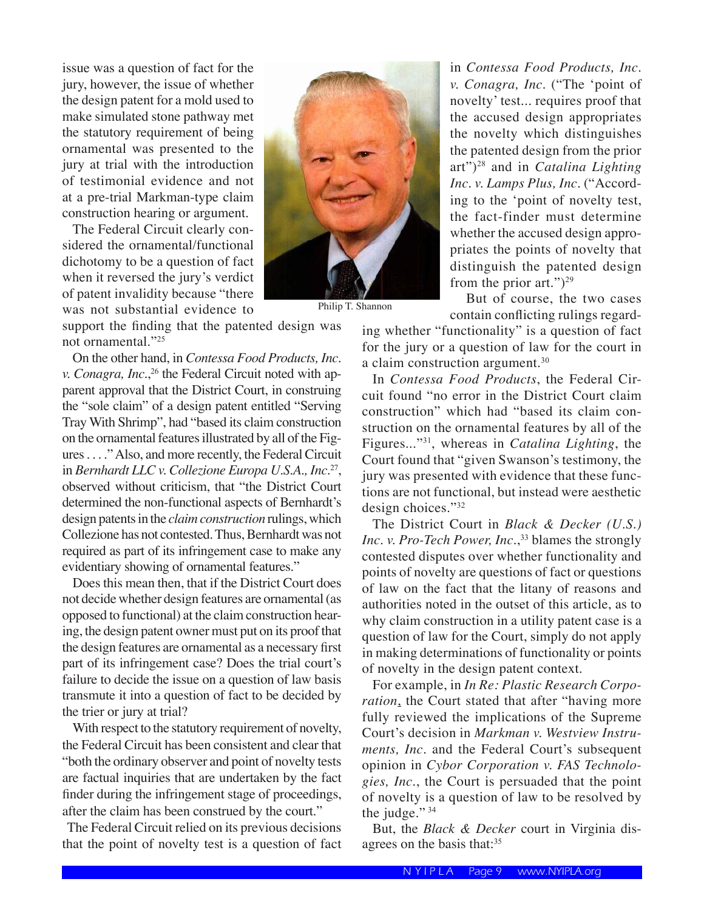issue was a question of fact for the jury, however, the issue of whether the design patent for a mold used to make simulated stone pathway met the statutory requirement of being ornamental was presented to the jury at trial with the introduction of testimonial evidence and not at a pre-trial Markman-type claim construction hearing or argument.

 The Federal Circuit clearly considered the ornamental/functional dichotomy to be a question of fact when it reversed the jury's verdict of patent invalidity because "there was not substantial evidence to

support the finding that the patented design was not ornamental."<sup>25</sup>

 On the other hand, in *Contessa Food Products, Inc. v. Conagra, Inc.*,<sup>26</sup> the Federal Circuit noted with apparent approval that the District Court, in construing the "sole claim" of a design patent entitled "Serving Tray With Shrimp", had "based its claim construction on the ornamental features illustrated by all of the Figures . . . ." Also, and more recently, the Federal Circuit in *Bernhardt LLC v. Collezione Europa U.S.A., Inc.*<sup>27</sup>, observed without criticism, that "the District Court determined the non-functional aspects of Bernhardt's design patents in the *claimconstruction* rulings, which Collezione has not contested. Thus, Bernhardt was not required as part of its infringement case to make any evidentiary showing of ornamental features."

 Does this mean then, that if the District Court does not decide whether design features are ornamental (as opposed to functional) at the claim construction hearing, the design patent owner must put on its proof that the design features are ornamental as a necessary first part of its infringement case? Does the trial court's failure to decide the issue on a question of law basis transmute it into a question of fact to be decided by the trier or jury at trial?

 With respect to the statutory requirement of novelty, the Federal Circuit has been consistent and clear that "both the ordinary observer and point of novelty tests are factual inquiries that are undertaken by the fact finder during the infringement stage of proceedings, after the claim has been construed by the court."

 The Federal Circuit relied on its previous decisions that the point of novelty test is a question of fact



Philip T. Shannon

in *Contessa Food Products, Inc. v. Conagra, Inc.* ("The ʻpoint of novelty' test... requires proof that the accused design appropriates the novelty which distinguishes the patented design from the prior art")<sup>28</sup> and in *Catalina Lighting Inc. v. Lamps Plus, Inc.* ("According to the ʻpoint of novelty test, the fact-finder must determine whether the accused design appropriates the points of novelty that distinguish the patented design from the prior art." $)^{29}$ 

 But of course, the two cases contain conflicting rulings regard-

ing whether "functionality" is a question of fact for the jury or a question of law for the court in a claim construction argument.<sup>30</sup>

 In *Contessa Food Products*, the Federal Circuit found "no error in the District Court claim construction" which had "based its claim construction on the ornamental features by all of the Figures..."<sup>31</sup>, whereas in *Catalina Lighting*, the Court found that "given Swanson's testimony, the jury was presented with evidence that these functions are not functional, but instead were aesthetic design choices."<sup>32</sup>

 The District Court in *Black & Decker (U.S.) Inc. v. Pro-Tech Power, Inc.*, <sup>33</sup> blames the strongly contested disputes over whether functionality and points of novelty are questions of fact or questions of law on the fact that the litany of reasons and authorities noted in the outset of this article, as to why claim construction in a utility patent case is a question of law for the Court, simply do not apply in making determinations of functionality or points of novelty in the design patent context.

 For example, in *In Re: Plastic Research Corporation*, the Court stated that after "having more fully reviewed the implications of the Supreme Court's decision in *Markman v. Westview Instruments, Inc.* and the Federal Court's subsequent opinion in *Cybor Corporation v. FAS Technologies, Inc.*, the Court is persuaded that the point of novelty is a question of law to be resolved by the judge." 34

 But, the *Black & Decker* court in Virginia disagrees on the basis that:<sup>35</sup>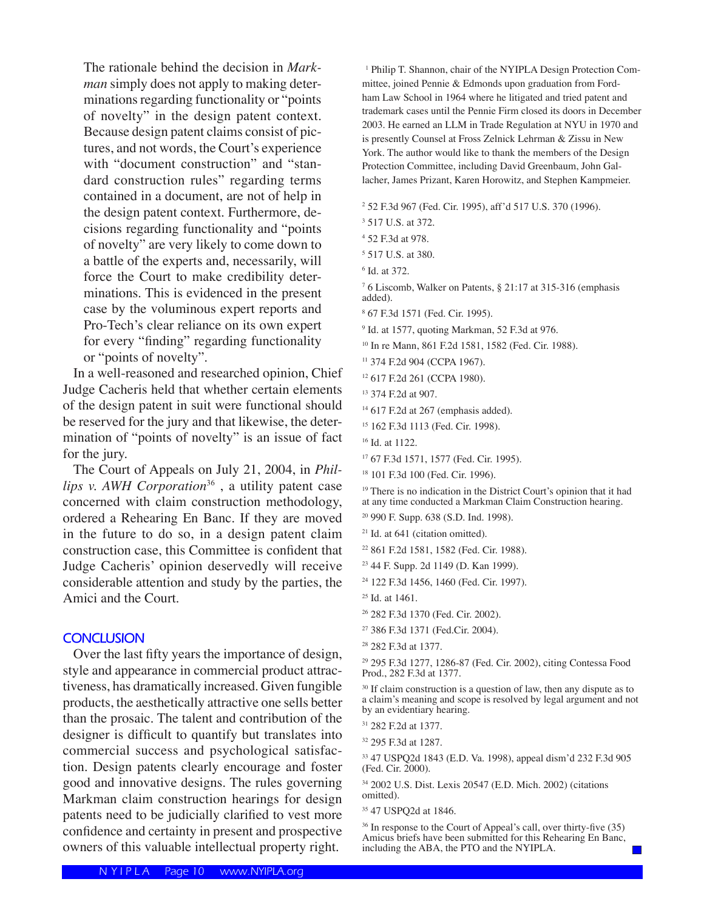The rationale behind the decision in *Markman* simply does not apply to making determinations regarding functionality or "points of novelty" in the design patent context. Because design patent claims consist of pictures, and not words, the Court's experience with "document construction" and "standard construction rules" regarding terms contained in a document, are not of help in the design patent context. Furthermore, decisions regarding functionality and "points of novelty" are very likely to come down to a battle of the experts and, necessarily, will force the Court to make credibility determinations. This is evidenced in the present case by the voluminous expert reports and Pro-Tech's clear reliance on its own expert for every "finding" regarding functionality or "points of novelty".

 In a well-reasoned and researched opinion, Chief Judge Cacheris held that whether certain elements of the design patent in suit were functional should be reserved for the jury and that likewise, the determination of "points of novelty" is an issue of fact for the jury.

 The Court of Appeals on July 21, 2004, in *Phillips v. AWH Corporation*<sup>36</sup> , a utility patent case concerned with claim construction methodology, ordered a Rehearing En Banc. If they are moved in the future to do so, in a design patent claim construction case, this Committee is confident that Judge Cacheris' opinion deservedly will receive considerable attention and study by the parties, the Amici and the Court.

#### **CONCLUSION**

 Over the last fifty years the importance of design, style and appearance in commercial product attractiveness, has dramatically increased. Given fungible products, the aesthetically attractive one sells better than the prosaic. The talent and contribution of the designer is difficult to quantify but translates into commercial success and psychological satisfaction. Design patents clearly encourage and foster good and innovative designs. The rules governing Markman claim construction hearings for design patents need to be judicially clarified to vest more confidence and certainty in present and prospective owners of this valuable intellectual property right.

<sup>1</sup> Philip T. Shannon, chair of the NYIPLA Design Protection Committee, joined Pennie & Edmonds upon graduation from Fordham Law School in 1964 where he litigated and tried patent and trademark cases until the Pennie Firm closed its doors in December 2003. He earned an LLM in Trade Regulation at NYU in 1970 and is presently Counsel at Fross Zelnick Lehrman & Zissu in New York. The author would like to thank the members of the Design Protection Committee, including David Greenbaum, John Gallacher, James Prizant, Karen Horowitz, and Stephen Kampmeier.

2 52 F.3d 967 (Fed. Cir. 1995), aff'd 517 U.S. 370 (1996).

3 517 U.S. at 372.

- 5 517 U.S. at 380.
- 6 Id. at 372.

7 6 Liscomb, Walker on Patents, § 21:17 at 315-316 (emphasis added).

- 8 67 F.3d 1571 (Fed. Cir. 1995).
- 9 Id. at 1577, quoting Markman, 52 F.3d at 976.
- 10 In re Mann, 861 F.2d 1581, 1582 (Fed. Cir. 1988).
- 11 374 F.2d 904 (CCPA 1967).
- 12 617 F.2d 261 (CCPA 1980).
	- 13 374 F.2d at 907.
	- <sup>14</sup> 617 F.2d at 267 (emphasis added).
	- 15 162 F.3d 1113 (Fed. Cir. 1998).
	- <sup>16</sup> Id. at 1122.
	- 17 67 F.3d 1571, 1577 (Fed. Cir. 1995).
	- 18 101 F.3d 100 (Fed. Cir. 1996).

<sup>19</sup> There is no indication in the District Court's opinion that it had at any time conducted a Markman Claim Construction hearing.

- 20 990 F. Supp. 638 (S.D. Ind. 1998).
- <sup>21</sup> Id. at 641 (citation omitted).
- 22 861 F.2d 1581, 1582 (Fed. Cir. 1988).
- 23 44 F. Supp. 2d 1149 (D. Kan 1999).
- 24 122 F.3d 1456, 1460 (Fed. Cir. 1997).

 $25$  Id. at 1461.

26 282 F.3d 1370 (Fed. Cir. 2002).

29 295 F.3d 1277, 1286-87 (Fed. Cir. 2002), citing Contessa Food Prod., 282 F.3d at 1377.

<sup>30</sup> If claim construction is a question of law, then any dispute as to a claim's meaning and scope is resolved by legal argument and not by an evidentiary hearing.

33 47 USPQ2d 1843 (E.D. Va. 1998), appeal dism'd 232 F.3d 905 (Fed. Cir. 2000).

34 2002 U.S. Dist. Lexis 20547 (E.D. Mich. 2002) (citations omitted).

<sup>36</sup> In response to the Court of Appeal's call, over thirty-five (35) Amicus briefs have been submitted for this Rehearing En Banc, including the ABA, the PTO and the NYIPLA.

<sup>4</sup> 52 F.3d at 978.

<sup>27 386</sup> F.3d 1371 (Fed.Cir. 2004).

<sup>28 282</sup> F.3d at 1377.

<sup>31 282</sup> F.2d at 1377.

<sup>32 295</sup> F.3d at 1287.

<sup>35 47</sup> USPQ2d at 1846.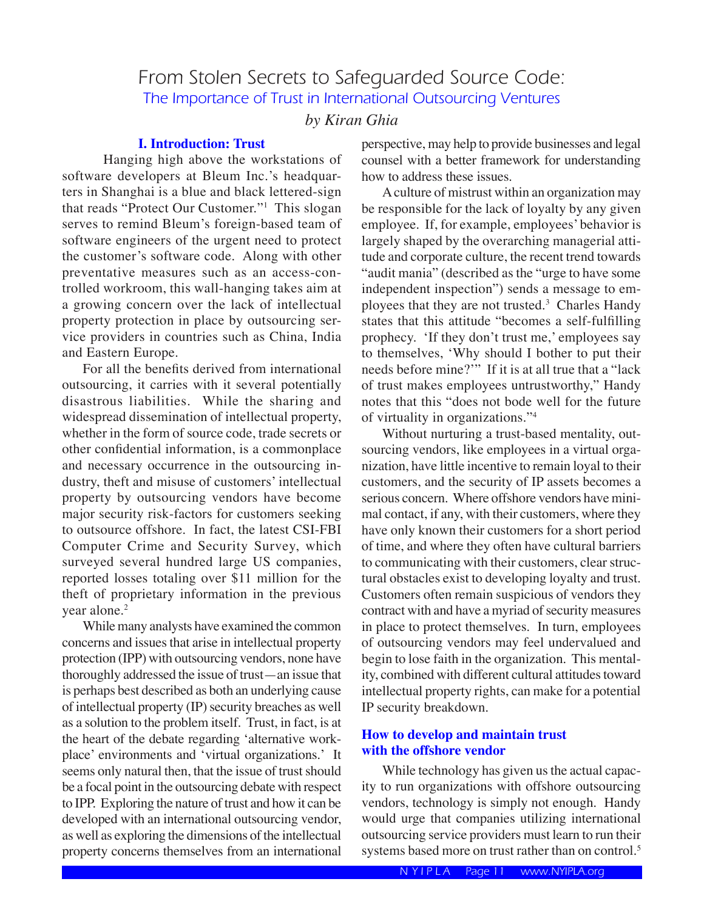# From Stolen Secrets to Safeguarded Source Code: The Importance of Trust in International Outsourcing Ventures

#### *by Kiran Ghia*

#### **I. Introduction: Trust**

 Hanging high above the workstations of software developers at Bleum Inc.'s headquarters in Shanghai is a blue and black lettered-sign that reads "Protect Our Customer."1 This slogan serves to remind Bleum's foreign-based team of software engineers of the urgent need to protect the customer's software code. Along with other preventative measures such as an access-controlled workroom, this wall-hanging takes aim at a growing concern over the lack of intellectual property protection in place by outsourcing service providers in countries such as China, India and Eastern Europe.

 For all the benefits derived from international outsourcing, it carries with it several potentially disastrous liabilities. While the sharing and widespread dissemination of intellectual property, whether in the form of source code, trade secrets or other confidential information, is a commonplace and necessary occurrence in the outsourcing industry, theft and misuse of customers' intellectual property by outsourcing vendors have become major security risk-factors for customers seeking to outsource offshore. In fact, the latest CSI-FBI Computer Crime and Security Survey, which surveyed several hundred large US companies, reported losses totaling over \$11 million for the theft of proprietary information in the previous year alone.<sup>2</sup>

 While many analysts have examined the common concerns and issues that arise in intellectual property protection (IPP) with outsourcing vendors, none have thoroughly addressed the issue of trust—an issue that is perhaps best described as both an underlying cause of intellectual property (IP) security breaches as well as a solution to the problem itself. Trust, in fact, is at the heart of the debate regarding ʻalternative workplace' environments and ʻvirtual organizations.' It seems only natural then, that the issue of trust should be a focal point in the outsourcing debate with respect to IPP. Exploring the nature of trust and how it can be developed with an international outsourcing vendor, as well as exploring the dimensions of the intellectual property concerns themselves from an international

perspective, may help to provide businesses and legal counsel with a better framework for understanding how to address these issues.

 A culture of mistrust within an organization may be responsible for the lack of loyalty by any given employee. If, for example, employees' behavior is largely shaped by the overarching managerial attitude and corporate culture, the recent trend towards "audit mania" (described as the "urge to have some independent inspection") sends a message to employees that they are not trusted.3 Charles Handy states that this attitude "becomes a self-fulfilling prophecy. ʻIf they don't trust me,' employees say to themselves, ʻWhy should I bother to put their needs before mine?'" If it is at all true that a "lack of trust makes employees untrustworthy," Handy notes that this "does not bode well for the future of virtuality in organizations."4

 Without nurturing a trust-based mentality, outsourcing vendors, like employees in a virtual organization, have little incentive to remain loyal to their customers, and the security of IP assets becomes a serious concern. Where offshore vendors have minimal contact, if any, with their customers, where they have only known their customers for a short period of time, and where they often have cultural barriers to communicating with their customers, clear structural obstacles exist to developing loyalty and trust. Customers often remain suspicious of vendors they contract with and have a myriad of security measures in place to protect themselves. In turn, employees of outsourcing vendors may feel undervalued and begin to lose faith in the organization. This mentality, combined with different cultural attitudes toward intellectual property rights, can make for a potential IP security breakdown.

#### **How to develop and maintain trust with the offshore vendor**

While technology has given us the actual capacity to run organizations with offshore outsourcing vendors, technology is simply not enough. Handy would urge that companies utilizing international outsourcing service providers must learn to run their systems based more on trust rather than on control.<sup>5</sup>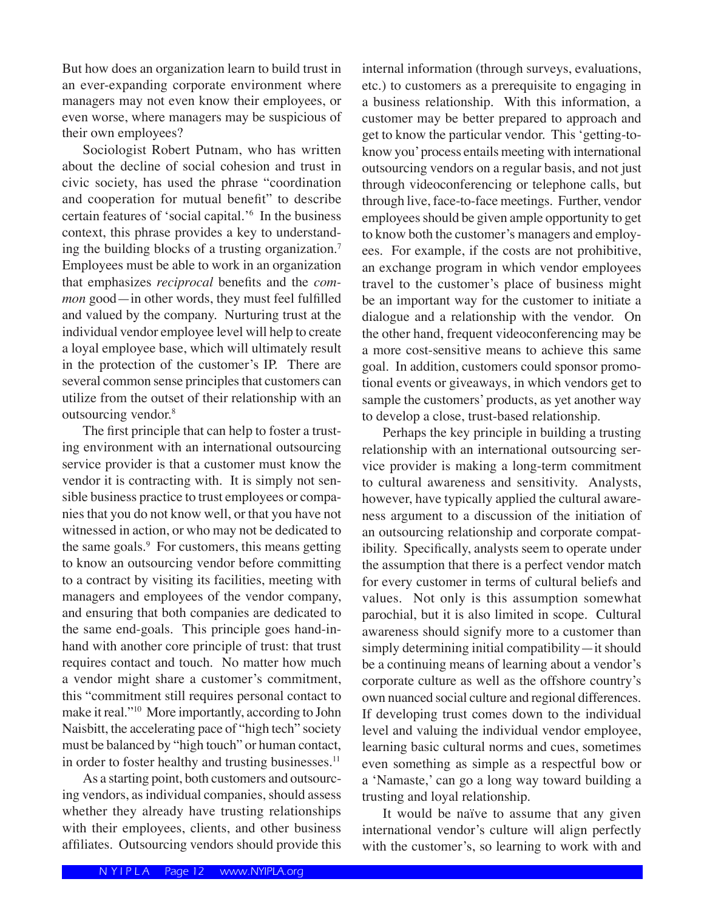But how does an organization learn to build trust in an ever-expanding corporate environment where managers may not even know their employees, or even worse, where managers may be suspicious of their own employees?

 Sociologist Robert Putnam, who has written about the decline of social cohesion and trust in civic society, has used the phrase "coordination and cooperation for mutual benefit" to describe certain features of ʻsocial capital.'6 In the business context, this phrase provides a key to understanding the building blocks of a trusting organization.7 Employees must be able to work in an organization that emphasizes *reciprocal* benefits and the *common* good—in other words, they must feel fulfilled and valued by the company. Nurturing trust at the individual vendor employee level will help to create a loyal employee base, which will ultimately result in the protection of the customer's IP. There are several common sense principles that customers can utilize from the outset of their relationship with an outsourcing vendor.8

 The first principle that can help to foster a trusting environment with an international outsourcing service provider is that a customer must know the vendor it is contracting with. It is simply not sensible business practice to trust employees or companies that you do not know well, or that you have not witnessed in action, or who may not be dedicated to the same goals.9 For customers, this means getting to know an outsourcing vendor before committing to a contract by visiting its facilities, meeting with managers and employees of the vendor company, and ensuring that both companies are dedicated to the same end-goals. This principle goes hand-inhand with another core principle of trust: that trust requires contact and touch. No matter how much a vendor might share a customer's commitment, this "commitment still requires personal contact to make it real."10 More importantly, according to John Naisbitt, the accelerating pace of "high tech" society must be balanced by "high touch" or human contact, in order to foster healthy and trusting businesses.<sup>11</sup>

 As a starting point, both customers and outsourcing vendors, as individual companies, should assess whether they already have trusting relationships with their employees, clients, and other business affiliates. Outsourcing vendors should provide this internal information (through surveys, evaluations, etc.) to customers as a prerequisite to engaging in a business relationship. With this information, a customer may be better prepared to approach and get to know the particular vendor. This ʻgetting-toknow you' process entails meeting with international outsourcing vendors on a regular basis, and not just through videoconferencing or telephone calls, but through live, face-to-face meetings. Further, vendor employees should be given ample opportunity to get to know both the customer's managers and employees. For example, if the costs are not prohibitive, an exchange program in which vendor employees travel to the customer's place of business might be an important way for the customer to initiate a dialogue and a relationship with the vendor. On the other hand, frequent videoconferencing may be a more cost-sensitive means to achieve this same goal. In addition, customers could sponsor promotional events or giveaways, in which vendors get to sample the customers' products, as yet another way to develop a close, trust-based relationship.

 Perhaps the key principle in building a trusting relationship with an international outsourcing service provider is making a long-term commitment to cultural awareness and sensitivity. Analysts, however, have typically applied the cultural awareness argument to a discussion of the initiation of an outsourcing relationship and corporate compatibility. Specifically, analysts seem to operate under the assumption that there is a perfect vendor match for every customer in terms of cultural beliefs and values. Not only is this assumption somewhat parochial, but it is also limited in scope. Cultural awareness should signify more to a customer than simply determining initial compatibility—it should be a continuing means of learning about a vendor's corporate culture as well as the offshore country's own nuanced social culture and regional differences. If developing trust comes down to the individual level and valuing the individual vendor employee, learning basic cultural norms and cues, sometimes even something as simple as a respectful bow or a ʻNamaste,' can go a long way toward building a trusting and loyal relationship.

 It would be naïve to assume that any given international vendor's culture will align perfectly with the customer's, so learning to work with and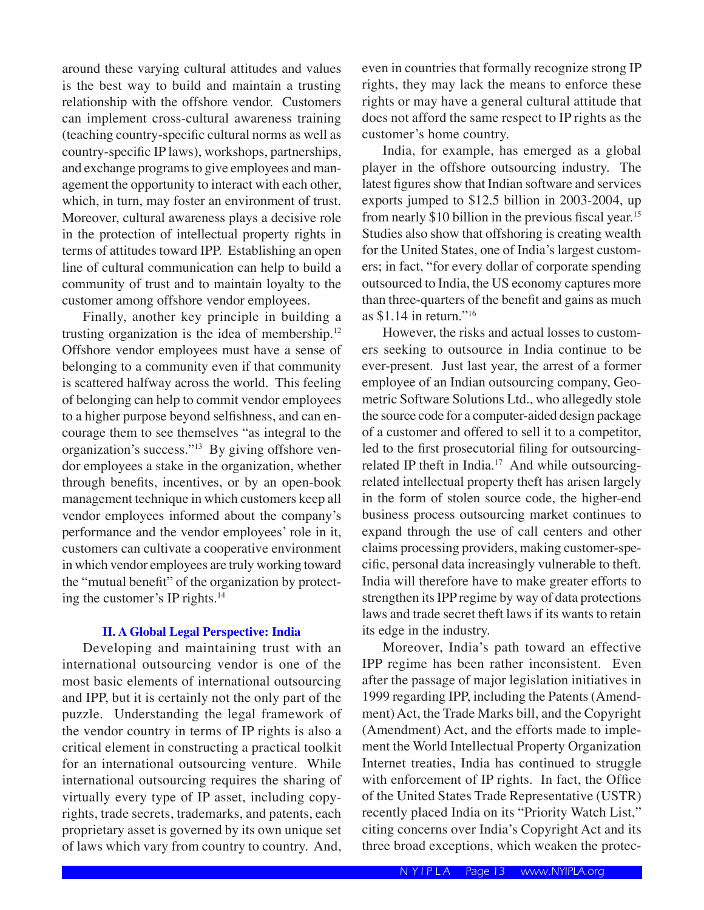around these varying cultural attitudes and values is the best way to build and maintain a trusting relationship with the offshore vendor. Customers can implement cross-cultural awareness training (teaching country-specific cultural norms as well as country-specific IP laws), workshops, partnerships, and exchange programs to give employees and management the opportunity to interact with each other, which, in turn, may foster an environment of trust. Moreover, cultural awareness plays a decisive role in the protection of intellectual property rights in terms of attitudes toward IPP. Establishing an open line of cultural communication can help to build a community of trust and to maintain loyalty to the customer among offshore vendor employees.

 Finally, another key principle in building a trusting organization is the idea of membership.12 Offshore vendor employees must have a sense of belonging to a community even if that community is scattered halfway across the world. This feeling of belonging can help to commit vendor employees to a higher purpose beyond selfishness, and can encourage them to see themselves "as integral to the organization's success."13 By giving offshore vendor employees a stake in the organization, whether through benefits, incentives, or by an open-book management technique in which customers keep all vendor employees informed about the company's performance and the vendor employees' role in it, customers can cultivate a cooperative environment in which vendor employees are truly working toward the "mutual benefit" of the organization by protecting the customer's IP rights.14

#### **II. A Global Legal Perspective: India**

 Developing and maintaining trust with an international outsourcing vendor is one of the most basic elements of international outsourcing and IPP, but it is certainly not the only part of the puzzle. Understanding the legal framework of the vendor country in terms of IP rights is also a critical element in constructing a practical toolkit for an international outsourcing venture. While international outsourcing requires the sharing of virtually every type of IP asset, including copyrights, trade secrets, trademarks, and patents, each proprietary asset is governed by its own unique set of laws which vary from country to country. And,

even in countries that formally recognize strong IP rights, they may lack the means to enforce these rights or may have a general cultural attitude that does not afford the same respect to IP rights as the customer's home country.

 India, for example, has emerged as a global player in the offshore outsourcing industry. The latest figures show that Indian software and services exports jumped to \$12.5 billion in 2003-2004, up from nearly \$10 billion in the previous fiscal year.15 Studies also show that offshoring is creating wealth for the United States, one of India's largest customers; in fact, "for every dollar of corporate spending outsourced to India, the US economy captures more than three-quarters of the benefit and gains as much as \$1.14 in return."16

 However, the risks and actual losses to customers seeking to outsource in India continue to be ever-present. Just last year, the arrest of a former employee of an Indian outsourcing company, Geometric Software Solutions Ltd., who allegedly stole the source code for a computer-aided design package of a customer and offered to sell it to a competitor, led to the first prosecutorial filing for outsourcingrelated IP theft in India.<sup>17</sup> And while outsourcingrelated intellectual property theft has arisen largely in the form of stolen source code, the higher-end business process outsourcing market continues to expand through the use of call centers and other claims processing providers, making customer-specific, personal data increasingly vulnerable to theft. India will therefore have to make greater efforts to strengthen its IPP regime by way of data protections laws and trade secret theft laws if its wants to retain its edge in the industry.

 Moreover, India's path toward an effective IPP regime has been rather inconsistent. Even after the passage of major legislation initiatives in 1999 regarding IPP, including the Patents (Amendment) Act, the Trade Marks bill, and the Copyright (Amendment) Act, and the efforts made to implement the World Intellectual Property Organization Internet treaties, India has continued to struggle with enforcement of IP rights. In fact, the Office of the United States Trade Representative (USTR) recently placed India on its "Priority Watch List," citing concerns over India's Copyright Act and its three broad exceptions, which weaken the protec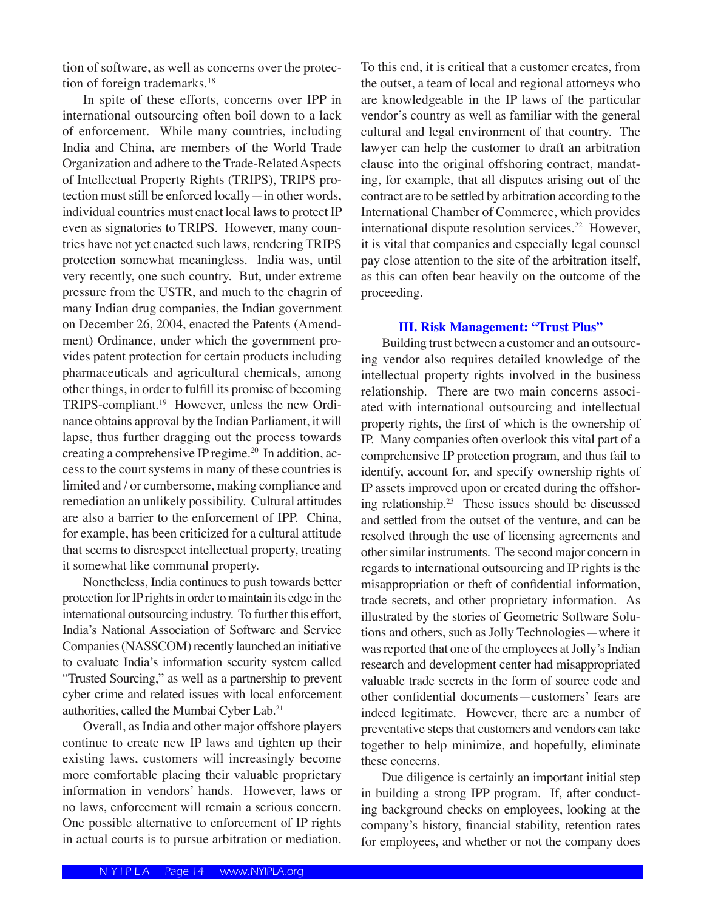tion of software, as well as concerns over the protection of foreign trademarks.<sup>18</sup>

 In spite of these efforts, concerns over IPP in international outsourcing often boil down to a lack of enforcement. While many countries, including India and China, are members of the World Trade Organization and adhere to the Trade-Related Aspects of Intellectual Property Rights (TRIPS), TRIPS protection must still be enforced locally—in other words, individual countries must enact local laws to protect IP even as signatories to TRIPS. However, many countries have not yet enacted such laws, rendering TRIPS protection somewhat meaningless. India was, until very recently, one such country. But, under extreme pressure from the USTR, and much to the chagrin of many Indian drug companies, the Indian government on December 26, 2004, enacted the Patents (Amendment) Ordinance, under which the government provides patent protection for certain products including pharmaceuticals and agricultural chemicals, among other things, in order to fulfill its promise of becoming TRIPS-compliant.19 However, unless the new Ordinance obtains approval by the Indian Parliament, it will lapse, thus further dragging out the process towards creating a comprehensive IP regime.<sup>20</sup> In addition, access to the court systems in many of these countries is limited and / or cumbersome, making compliance and remediation an unlikely possibility. Cultural attitudes are also a barrier to the enforcement of IPP. China, for example, has been criticized for a cultural attitude that seems to disrespect intellectual property, treating it somewhat like communal property.

 Nonetheless, India continues to push towards better protection for IP rights in order to maintain its edge in the international outsourcing industry. To further this effort, India's National Association of Software and Service Companies (NASSCOM) recently launched an initiative to evaluate India's information security system called "Trusted Sourcing," as well as a partnership to prevent cyber crime and related issues with local enforcement authorities, called the Mumbai Cyber Lab.<sup>21</sup>

 Overall, as India and other major offshore players continue to create new IP laws and tighten up their existing laws, customers will increasingly become more comfortable placing their valuable proprietary information in vendors' hands. However, laws or no laws, enforcement will remain a serious concern. One possible alternative to enforcement of IP rights in actual courts is to pursue arbitration or mediation. To this end, it is critical that a customer creates, from the outset, a team of local and regional attorneys who are knowledgeable in the IP laws of the particular vendor's country as well as familiar with the general cultural and legal environment of that country. The lawyer can help the customer to draft an arbitration clause into the original offshoring contract, mandating, for example, that all disputes arising out of the contract are to be settled by arbitration according to the International Chamber of Commerce, which provides international dispute resolution services.<sup>22</sup> However, it is vital that companies and especially legal counsel pay close attention to the site of the arbitration itself, as this can often bear heavily on the outcome of the proceeding.

#### **III. Risk Management: "Trust Plus"**

 Building trust between a customer and an outsourcing vendor also requires detailed knowledge of the intellectual property rights involved in the business relationship. There are two main concerns associated with international outsourcing and intellectual property rights, the first of which is the ownership of IP. Many companies often overlook this vital part of a comprehensive IP protection program, and thus fail to identify, account for, and specify ownership rights of IP assets improved upon or created during the offshoring relationship.23 These issues should be discussed and settled from the outset of the venture, and can be resolved through the use of licensing agreements and other similar instruments. The second major concern in regards to international outsourcing and IP rights is the misappropriation or theft of confidential information, trade secrets, and other proprietary information. As illustrated by the stories of Geometric Software Solutions and others, such as Jolly Technologies—where it was reported that one of the employees at Jolly's Indian research and development center had misappropriated valuable trade secrets in the form of source code and other confidential documents—customers' fears are indeed legitimate. However, there are a number of preventative steps that customers and vendors can take together to help minimize, and hopefully, eliminate these concerns.

 Due diligence is certainly an important initial step in building a strong IPP program. If, after conducting background checks on employees, looking at the company's history, financial stability, retention rates for employees, and whether or not the company does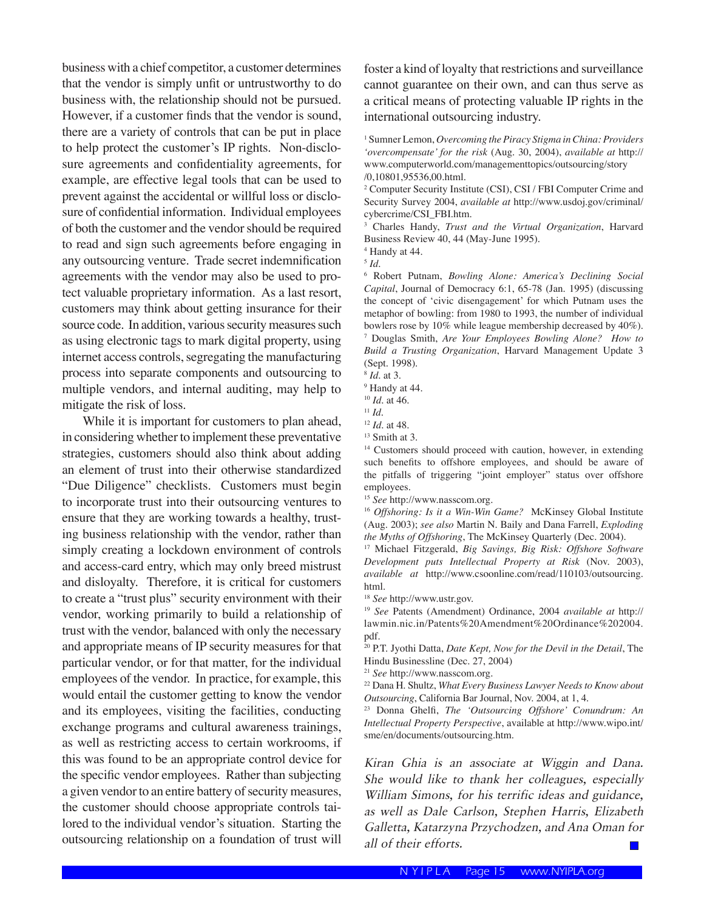business with a chief competitor, a customer determines that the vendor is simply unfit or untrustworthy to do business with, the relationship should not be pursued. However, if a customer finds that the vendor is sound, there are a variety of controls that can be put in place to help protect the customer's IP rights. Non-disclosure agreements and confidentiality agreements, for example, are effective legal tools that can be used to prevent against the accidental or willful loss or disclosure of confidential information. Individual employees of both the customer and the vendor should be required to read and sign such agreements before engaging in any outsourcing venture. Trade secret indemnification agreements with the vendor may also be used to protect valuable proprietary information. As a last resort, customers may think about getting insurance for their source code. In addition, various security measures such as using electronic tags to mark digital property, using internet access controls, segregating the manufacturing process into separate components and outsourcing to multiple vendors, and internal auditing, may help to mitigate the risk of loss.

 While it is important for customers to plan ahead, in considering whether to implement these preventative strategies, customers should also think about adding an element of trust into their otherwise standardized "Due Diligence" checklists. Customers must begin to incorporate trust into their outsourcing ventures to ensure that they are working towards a healthy, trusting business relationship with the vendor, rather than simply creating a lockdown environment of controls and access-card entry, which may only breed mistrust and disloyalty. Therefore, it is critical for customers to create a "trust plus" security environment with their vendor, working primarily to build a relationship of trust with the vendor, balanced with only the necessary and appropriate means of IP security measures for that particular vendor, or for that matter, for the individual employees of the vendor. In practice, for example, this would entail the customer getting to know the vendor and its employees, visiting the facilities, conducting exchange programs and cultural awareness trainings, as well as restricting access to certain workrooms, if this was found to be an appropriate control device for the specific vendor employees. Rather than subjecting a given vendor to an entire battery of security measures, the customer should choose appropriate controls tailored to the individual vendor's situation. Starting the outsourcing relationship on a foundation of trust will

foster a kind of loyalty that restrictions and surveillance cannot guarantee on their own, and can thus serve as a critical means of protecting valuable IP rights in the international outsourcing industry.

1 Sumner Lemon, *Overcoming the Piracy Stigma in China: Providers ʻovercompensate' for the risk* (Aug. 30, 2004), *available at* http:// www.computerworld.com/managementtopics/outsourcing/story /0,10801,95536,00.html.

2 Computer Security Institute (CSI), CSI / FBI Computer Crime and Security Survey 2004, *available at* http://www.usdoj.gov/criminal/ cybercrime/CSI\_FBI.htm.

3 Charles Handy, *Trust and the Virtual Organization*, Harvard Business Review 40, 44 (May-June 1995).

4 Handy at 44.

6 Robert Putnam, *Bowling Alone: America's Declining Social Capital*, Journal of Democracy 6:1, 65-78 (Jan. 1995) (discussing the concept of ʻcivic disengagement' for which Putnam uses the metaphor of bowling: from 1980 to 1993, the number of individual bowlers rose by 10% while league membership decreased by 40%). 7 Douglas Smith, *Are Your Employees Bowling Alone? How to Build a Trusting Organization*, Harvard Management Update 3 (Sept. 1998).

<sup>14</sup> Customers should proceed with caution, however, in extending such benefits to offshore employees, and should be aware of the pitfalls of triggering "joint employer" status over offshore employees.

<sup>15</sup> *See* http://www.nasscom.org.

<sup>16</sup> *Offshoring: Is it a Win-Win Game?* McKinsey Global Institute (Aug. 2003); *see also* Martin N. Baily and Dana Farrell, *Exploding the Myths of Offshoring*, The McKinsey Quarterly (Dec. 2004).

17 Michael Fitzgerald, *Big Savings, Big Risk: Offshore Software Development puts Intellectual Property at Risk* (Nov. 2003), *available at* http://www.csoonline.com/read/110103/outsourcing. html.

<sup>18</sup> *See* http://www.ustr.gov.

<sup>19</sup> *See* Patents (Amendment) Ordinance, 2004 *available at* http:// lawmin.nic.in/Patents%20Amendment%20Ordinance%202004. pdf.

20 P.T. Jyothi Datta, *Date Kept, Now for the Devil in the Detail*, The Hindu Businessline (Dec. 27, 2004)

<sup>21</sup> *See* http://www.nasscom.org.

22 Dana H. Shultz, *What Every Business Lawyer Needs to Know about Outsourcing*, California Bar Journal, Nov. 2004, at 1, 4.

23 Donna Ghelfi, *The ʻOutsourcing Offshore' Conundrum: An Intellectual Property Perspective*, available at http://www.wipo.int/ sme/en/documents/outsourcing.htm.

*Kiran Ghia is an associate at Wiggin and Dana. She would like to thank her colleagues, especially William Simons, for his terrific ideas and guidance, as well as Dale Carlson, Stephen Harris, Elizabeth Galletta, Katarzyna Przychodzen, and Ana Oman for all of their efforts.*

<sup>5</sup> *Id.*

<sup>8</sup> *Id.* at 3.

<sup>9</sup> Handy at 44.

<sup>10</sup> *Id.* at 46.

<sup>11</sup> *Id.*

<sup>12</sup> *Id.* at 48.

<sup>&</sup>lt;sup>13</sup> Smith at 3.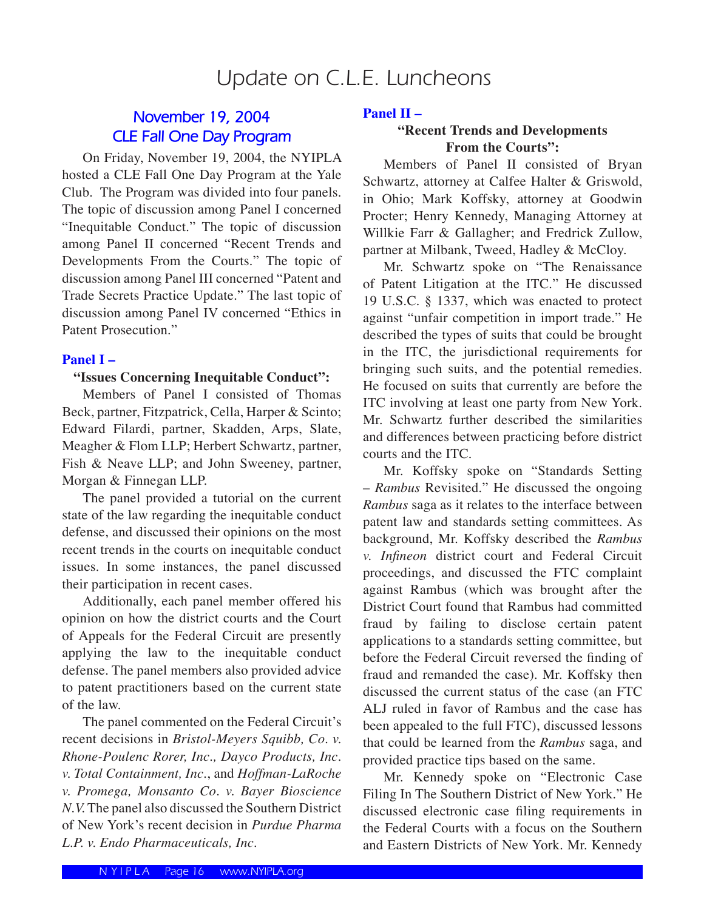# Update on C.L.E. Luncheons

## **November 19, 2004 CLE Fall One Day Program**

 On Friday, November 19, 2004, the NYIPLA hosted a CLE Fall One Day Program at the Yale Club. The Program was divided into four panels. The topic of discussion among Panel I concerned "Inequitable Conduct." The topic of discussion among Panel II concerned "Recent Trends and Developments From the Courts." The topic of discussion among Panel III concerned "Patent and Trade Secrets Practice Update." The last topic of discussion among Panel IV concerned "Ethics in Patent Prosecution."

#### **Panel I –**

#### **"Issues Concerning Inequitable Conduct":**

 Members of Panel I consisted of Thomas Beck, partner, Fitzpatrick, Cella, Harper & Scinto; Edward Filardi, partner, Skadden, Arps, Slate, Meagher & Flom LLP; Herbert Schwartz, partner, Fish & Neave LLP; and John Sweeney, partner, Morgan & Finnegan LLP.

 The panel provided a tutorial on the current state of the law regarding the inequitable conduct defense, and discussed their opinions on the most recent trends in the courts on inequitable conduct issues. In some instances, the panel discussed their participation in recent cases.

 Additionally, each panel member offered his opinion on how the district courts and the Court of Appeals for the Federal Circuit are presently applying the law to the inequitable conduct defense. The panel members also provided advice to patent practitioners based on the current state of the law.

 The panel commented on the Federal Circuit's recent decisions in *Bristol-Meyers Squibb, Co. v. Rhone-Poulenc Rorer, Inc., Dayco Products, Inc. v. Total Containment, Inc.*, and *Hoffman-LaRoche v. Promega, Monsanto Co. v. Bayer Bioscience N.V.* The panel also discussed the Southern District of New York's recent decision in *Purdue Pharma L.P. v. Endo Pharmaceuticals, Inc.*

#### **Panel II –**

#### **"Recent Trends and Developments From the Courts":**

Members of Panel II consisted of Bryan Schwartz, attorney at Calfee Halter & Griswold, in Ohio; Mark Koffsky, attorney at Goodwin Procter; Henry Kennedy, Managing Attorney at Willkie Farr & Gallagher; and Fredrick Zullow, partner at Milbank, Tweed, Hadley & McCloy.

 Mr. Schwartz spoke on "The Renaissance of Patent Litigation at the ITC." He discussed 19 U.S.C. § 1337, which was enacted to protect against "unfair competition in import trade." He described the types of suits that could be brought in the ITC, the jurisdictional requirements for bringing such suits, and the potential remedies. He focused on suits that currently are before the ITC involving at least one party from New York. Mr. Schwartz further described the similarities and differences between practicing before district courts and the ITC.

 Mr. Koffsky spoke on "Standards Setting – *Rambus* Revisited." He discussed the ongoing *Rambus* saga as it relates to the interface between patent law and standards setting committees. As background, Mr. Koffsky described the *Rambus v. Infineon* district court and Federal Circuit proceedings, and discussed the FTC complaint against Rambus (which was brought after the District Court found that Rambus had committed fraud by failing to disclose certain patent applications to a standards setting committee, but before the Federal Circuit reversed the finding of fraud and remanded the case). Mr. Koffsky then discussed the current status of the case (an FTC ALJ ruled in favor of Rambus and the case has been appealed to the full FTC), discussed lessons that could be learned from the *Rambus* saga, and provided practice tips based on the same.

 Mr. Kennedy spoke on "Electronic Case Filing In The Southern District of New York." He discussed electronic case filing requirements in the Federal Courts with a focus on the Southern and Eastern Districts of New York. Mr. Kennedy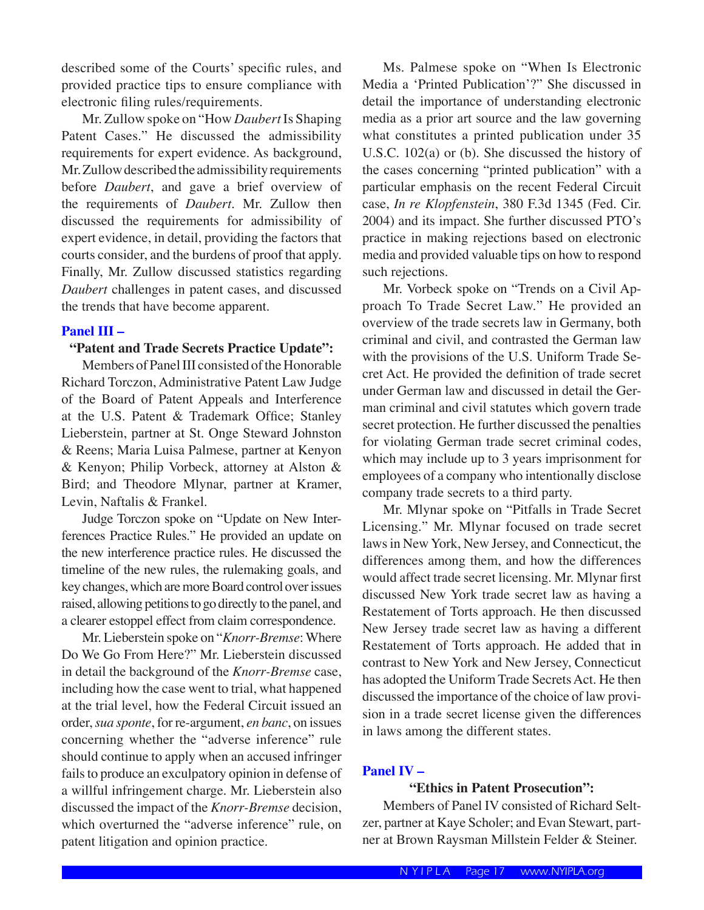described some of the Courts' specific rules, and provided practice tips to ensure compliance with electronic filing rules/requirements.

 Mr. Zullow spoke on "How *Daubert* Is Shaping Patent Cases." He discussed the admissibility requirements for expert evidence. As background, Mr. Zullow described the admissibility requirements before *Daubert*, and gave a brief overview of the requirements of *Daubert*. Mr. Zullow then discussed the requirements for admissibility of expert evidence, in detail, providing the factors that courts consider, and the burdens of proof that apply. Finally, Mr. Zullow discussed statistics regarding *Daubert* challenges in patent cases, and discussed the trends that have become apparent.

#### **Panel III –**

#### **"Patent and Trade Secrets Practice Update":**

 Members of Panel III consisted of the Honorable Richard Torczon, Administrative Patent Law Judge of the Board of Patent Appeals and Interference at the U.S. Patent & Trademark Office; Stanley Lieberstein, partner at St. Onge Steward Johnston & Reens; Maria Luisa Palmese, partner at Kenyon & Kenyon; Philip Vorbeck, attorney at Alston & Bird; and Theodore Mlynar, partner at Kramer, Levin, Naftalis & Frankel.

 Judge Torczon spoke on "Update on New Interferences Practice Rules." He provided an update on the new interference practice rules. He discussed the timeline of the new rules, the rulemaking goals, and key changes, which are more Board control over issues raised, allowing petitions to go directly to the panel, and a clearer estoppel effect from claim correspondence.

 Mr. Lieberstein spoke on "*Knorr-Bremse*: Where Do We Go From Here?" Mr. Lieberstein discussed in detail the background of the *Knorr-Bremse* case, including how the case went to trial, what happened at the trial level, how the Federal Circuit issued an order, *sua sponte*, for re-argument, *en banc*, on issues concerning whether the "adverse inference" rule should continue to apply when an accused infringer fails to produce an exculpatory opinion in defense of a willful infringement charge. Mr. Lieberstein also discussed the impact of the *Knorr-Bremse* decision, which overturned the "adverse inference" rule, on patent litigation and opinion practice.

 Ms. Palmese spoke on "When Is Electronic Media a ʻPrinted Publication'?" She discussed in detail the importance of understanding electronic media as a prior art source and the law governing what constitutes a printed publication under 35 U.S.C. 102(a) or (b). She discussed the history of the cases concerning "printed publication" with a particular emphasis on the recent Federal Circuit case, *In re Klopfenstein*, 380 F.3d 1345 (Fed. Cir. 2004) and its impact. She further discussed PTO's practice in making rejections based on electronic media and provided valuable tips on how to respond such rejections.

 Mr. Vorbeck spoke on "Trends on a Civil Approach To Trade Secret Law." He provided an overview of the trade secrets law in Germany, both criminal and civil, and contrasted the German law with the provisions of the U.S. Uniform Trade Secret Act. He provided the definition of trade secret under German law and discussed in detail the German criminal and civil statutes which govern trade secret protection. He further discussed the penalties for violating German trade secret criminal codes, which may include up to 3 years imprisonment for employees of a company who intentionally disclose company trade secrets to a third party.

 Mr. Mlynar spoke on "Pitfalls in Trade Secret Licensing." Mr. Mlynar focused on trade secret laws in New York, New Jersey, and Connecticut, the differences among them, and how the differences would affect trade secret licensing. Mr. Mlynar first discussed New York trade secret law as having a Restatement of Torts approach. He then discussed New Jersey trade secret law as having a different Restatement of Torts approach. He added that in contrast to New York and New Jersey, Connecticut has adopted the Uniform Trade Secrets Act. He then discussed the importance of the choice of law provision in a trade secret license given the differences in laws among the different states.

#### **Panel IV –**

#### **"Ethics in Patent Prosecution":**

 Members of Panel IV consisted of Richard Seltzer, partner at Kaye Scholer; and Evan Stewart, partner at Brown Raysman Millstein Felder & Steiner.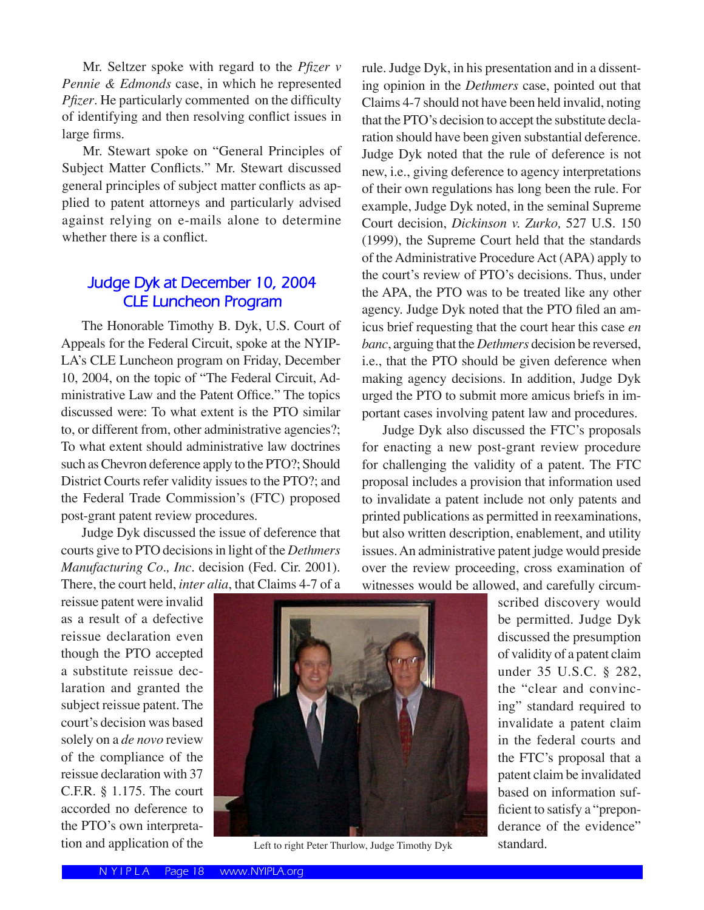Mr. Seltzer spoke with regard to the *Pfizer v Pennie & Edmonds* case, in which he represented *Pfizer*. He particularly commented on the difficulty of identifying and then resolving conflict issues in large firms.

 Mr. Stewart spoke on "General Principles of Subject Matter Conflicts." Mr. Stewart discussed general principles of subject matter conflicts as applied to patent attorneys and particularly advised against relying on e-mails alone to determine whether there is a conflict.

## **Judge Dyk at December 10, 2004 CLE Luncheon Program**

 The Honorable Timothy B. Dyk, U.S. Court of Appeals for the Federal Circuit, spoke at the NYIP-LA's CLE Luncheon program on Friday, December 10, 2004, on the topic of "The Federal Circuit, Administrative Law and the Patent Office." The topics discussed were: To what extent is the PTO similar to, or different from, other administrative agencies?; To what extent should administrative law doctrines such as Chevron deference apply to the PTO?; Should District Courts refer validity issues to the PTO?; and the Federal Trade Commission's (FTC) proposed post-grant patent review procedures.

 Judge Dyk discussed the issue of deference that courts give to PTO decisions in light of the *Dethmers Manufacturing Co., Inc.* decision (Fed. Cir. 2001). There, the court held, *inter alia*, that Claims 4-7 of a rule. Judge Dyk, in his presentation and in a dissenting opinion in the *Dethmers* case, pointed out that Claims 4-7 should not have been held invalid, noting that the PTO's decision to accept the substitute declaration should have been given substantial deference. Judge Dyk noted that the rule of deference is not new, i.e., giving deference to agency interpretations of their own regulations has long been the rule. For example, Judge Dyk noted, in the seminal Supreme Court decision, *Dickinson v. Zurko,* 527 U.S. 150 (1999), the Supreme Court held that the standards of the Administrative Procedure Act (APA) apply to the court's review of PTO's decisions. Thus, under the APA, the PTO was to be treated like any other agency. Judge Dyk noted that the PTO filed an amicus brief requesting that the court hear this case *en banc*, arguing that the *Dethmers* decision be reversed, i.e., that the PTO should be given deference when making agency decisions. In addition, Judge Dyk urged the PTO to submit more amicus briefs in important cases involving patent law and procedures.

 Judge Dyk also discussed the FTC's proposals for enacting a new post-grant review procedure for challenging the validity of a patent. The FTC proposal includes a provision that information used to invalidate a patent include not only patents and printed publications as permitted in reexaminations, but also written description, enablement, and utility issues. An administrative patent judge would preside over the review proceeding, cross examination of witnesses would be allowed, and carefully circum-

reissue patent were invalid as a result of a defective reissue declaration even though the PTO accepted a substitute reissue declaration and granted the subject reissue patent. The court's decision was based solely on a *de novo* review of the compliance of the reissue declaration with 37 C.F.R. § 1.175. The court accorded no deference to the PTO's own interpreta-



tion and application of the Left to right Peter Thurlow, Judge Timothy Dyk

scribed discovery would be permitted. Judge Dyk discussed the presumption of validity of a patent claim under 35 U.S.C. § 282, the "clear and convincing" standard required to invalidate a patent claim in the federal courts and the FTC's proposal that a patent claim be invalidated based on information sufficient to satisfy a "preponderance of the evidence" standard.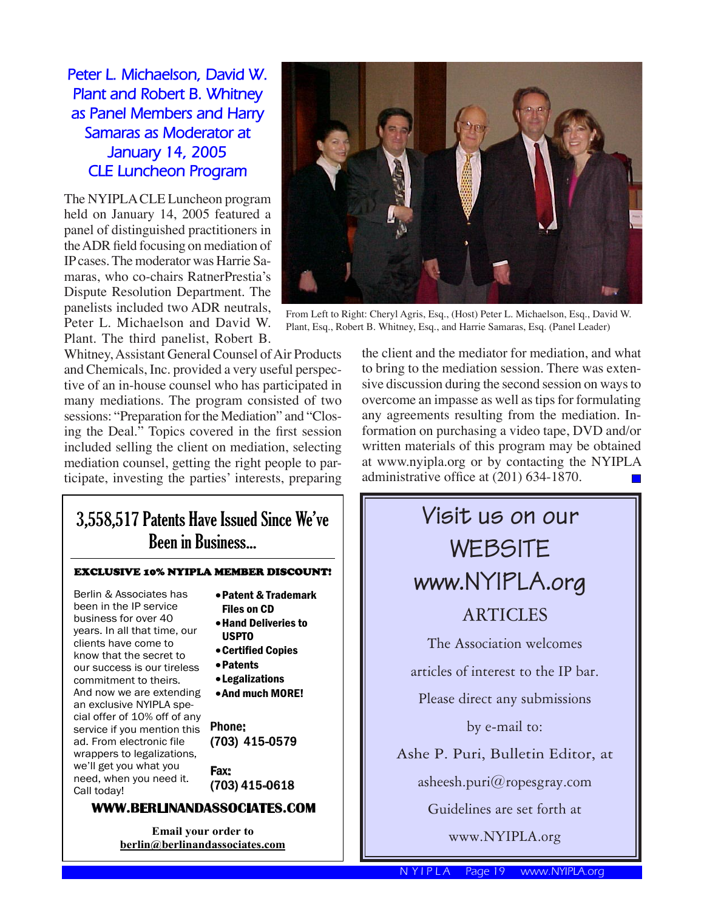**Peter L. Michaelson, David W. Plant and Robert B. Whitney as Panel Members and Harry Samaras as Moderator at January 14, 2005 CLE Luncheon Program**

The NYIPLA CLE Luncheon program held on January 14, 2005 featured a panel of distinguished practitioners in the ADR field focusing on mediation of IP cases. The moderator was Harrie Samaras, who co-chairs RatnerPrestia's Dispute Resolution Department. The panelists included two ADR neutrals, Peter L. Michaelson and David W. Plant. The third panelist, Robert B.

Whitney, Assistant General Counsel of Air Products and Chemicals, Inc. provided a very useful perspective of an in-house counsel who has participated in many mediations. The program consisted of two sessions: "Preparation for the Mediation" and "Closing the Deal." Topics covered in the first session included selling the client on mediation, selecting mediation counsel, getting the right people to participate, investing the parties' interests, preparing



**Email your order to berlin@berlinandassociates.com**



From Left to Right: Cheryl Agris, Esq., (Host) Peter L. Michaelson, Esq., David W. Plant, Esq., Robert B. Whitney, Esq., and Harrie Samaras, Esq. (Panel Leader)

the client and the mediator for mediation, and what to bring to the mediation session. There was extensive discussion during the second session on ways to overcome an impasse as well as tips for formulating any agreements resulting from the mediation. Information on purchasing a video tape, DVD and/or written materials of this program may be obtained at www.nyipla.org or by contacting the NYIPLA administrative office at (201) 634-1870.



N Y I P L A Page 19 www.NYIPLA.org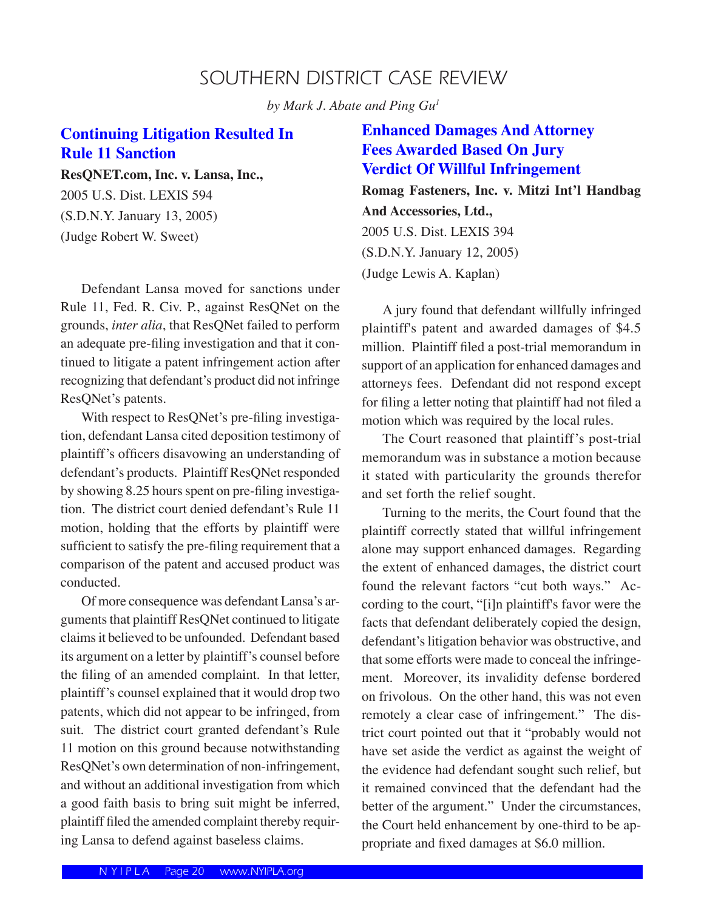# SOUTHERN DISTRICT CASE REVIEW

*by Mark J. Abate and Ping Gu1*

# **Continuing Litigation Resulted In Rule 11 Sanction**

**ResQNET.com, Inc. v. Lansa, Inc.,** 

2005 U.S. Dist. LEXIS 594 (S.D.N.Y. January 13, 2005) (Judge Robert W. Sweet)

 Defendant Lansa moved for sanctions under Rule 11, Fed. R. Civ. P., against ResQNet on the grounds, *inter alia*, that ResQNet failed to perform an adequate pre-filing investigation and that it continued to litigate a patent infringement action after recognizing that defendant's product did not infringe ResQNet's patents.

 With respect to ResQNet's pre-filing investigation, defendant Lansa cited deposition testimony of plaintiff's officers disavowing an understanding of defendant's products. Plaintiff ResQNet responded by showing 8.25 hours spent on pre-filing investigation. The district court denied defendant's Rule 11 motion, holding that the efforts by plaintiff were sufficient to satisfy the pre-filing requirement that a comparison of the patent and accused product was conducted.

 Of more consequence was defendant Lansa's arguments that plaintiff ResQNet continued to litigate claims it believed to be unfounded. Defendant based its argument on a letter by plaintiff's counsel before the filing of an amended complaint. In that letter, plaintiff's counsel explained that it would drop two patents, which did not appear to be infringed, from suit. The district court granted defendant's Rule 11 motion on this ground because notwithstanding ResQNet's own determination of non-infringement, and without an additional investigation from which a good faith basis to bring suit might be inferred, plaintiff filed the amended complaint thereby requiring Lansa to defend against baseless claims.

### **Enhanced Damages And Attorney Fees Awarded Based On Jury Verdict Of Willful Infringement**

**Romag Fasteners, Inc. v. Mitzi Int'l Handbag And Accessories, Ltd.,**  2005 U.S. Dist. LEXIS 394 (S.D.N.Y. January 12, 2005) (Judge Lewis A. Kaplan)

 A jury found that defendant willfully infringed plaintiff's patent and awarded damages of \$4.5 million. Plaintiff filed a post-trial memorandum in support of an application for enhanced damages and attorneys fees. Defendant did not respond except for filing a letter noting that plaintiff had not filed a motion which was required by the local rules.

 The Court reasoned that plaintiff's post-trial memorandum was in substance a motion because it stated with particularity the grounds therefor and set forth the relief sought.

 Turning to the merits, the Court found that the plaintiff correctly stated that willful infringement alone may support enhanced damages. Regarding the extent of enhanced damages, the district court found the relevant factors "cut both ways." According to the court, "[i]n plaintiff's favor were the facts that defendant deliberately copied the design, defendant's litigation behavior was obstructive, and that some efforts were made to conceal the infringement. Moreover, its invalidity defense bordered on frivolous. On the other hand, this was not even remotely a clear case of infringement." The district court pointed out that it "probably would not have set aside the verdict as against the weight of the evidence had defendant sought such relief, but it remained convinced that the defendant had the better of the argument." Under the circumstances, the Court held enhancement by one-third to be appropriate and fixed damages at \$6.0 million.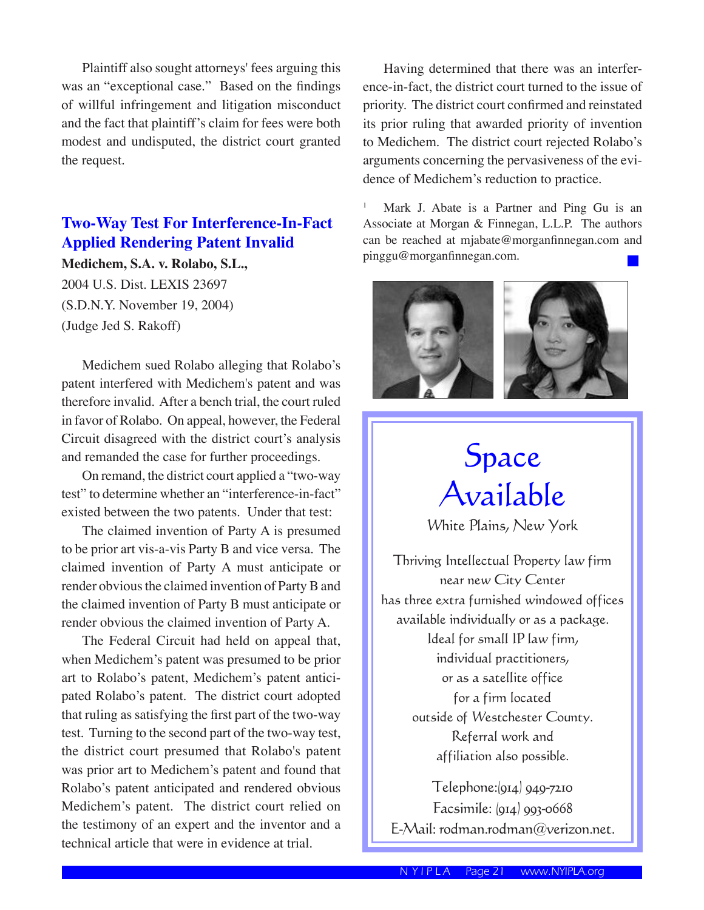Plaintiff also sought attorneys' fees arguing this was an "exceptional case." Based on the findings of willful infringement and litigation misconduct and the fact that plaintiff's claim for fees were both modest and undisputed, the district court granted the request.

## **Two-Way Test For Interference-In-Fact Applied Rendering Patent Invalid**

**Medichem, S.A. v. Rolabo, S.L.,** 2004 U.S. Dist. LEXIS 23697 (S.D.N.Y. November 19, 2004) (Judge Jed S. Rakoff)

 Medichem sued Rolabo alleging that Rolabo's patent interfered with Medichem's patent and was therefore invalid. After a bench trial, the court ruled in favor of Rolabo. On appeal, however, the Federal Circuit disagreed with the district court's analysis and remanded the case for further proceedings.

 On remand, the district court applied a "two-way test" to determine whether an "interference-in-fact" existed between the two patents. Under that test:

 The claimed invention of Party A is presumed to be prior art vis-a-vis Party B and vice versa. The claimed invention of Party A must anticipate or render obvious the claimed invention of Party B and the claimed invention of Party B must anticipate or render obvious the claimed invention of Party A.

 The Federal Circuit had held on appeal that, when Medichem's patent was presumed to be prior art to Rolabo's patent, Medichem's patent anticipated Rolabo's patent. The district court adopted that ruling as satisfying the first part of the two-way test. Turning to the second part of the two-way test, the district court presumed that Rolabo's patent was prior art to Medichem's patent and found that Rolabo's patent anticipated and rendered obvious Medichem's patent. The district court relied on the testimony of an expert and the inventor and a technical article that were in evidence at trial.

 Having determined that there was an interference-in-fact, the district court turned to the issue of priority. The district court confirmed and reinstated its prior ruling that awarded priority of invention to Medichem. The district court rejected Rolabo's arguments concerning the pervasiveness of the evidence of Medichem's reduction to practice.

1 Mark J. Abate is a Partner and Ping Gu is an Associate at Morgan & Finnegan, L.L.P. The authors can be reached at mjabate@morganfinnegan.com and pinggu@morganfinnegan.com.



# Space Available

White Plains, New York

Thriving Intellectual Property law firm near new City Center has three extra furnished windowed offices available individually or as a package. Ideal for small IP law firm, individual practitioners, or as a satellite office for a firm located outside of Westchester County. Referral work and affiliation also possible.

Telephone:(914) 949-7210 Facsimile: (914) 993-0668 E-Mail: rodman.rodman@verizon.net.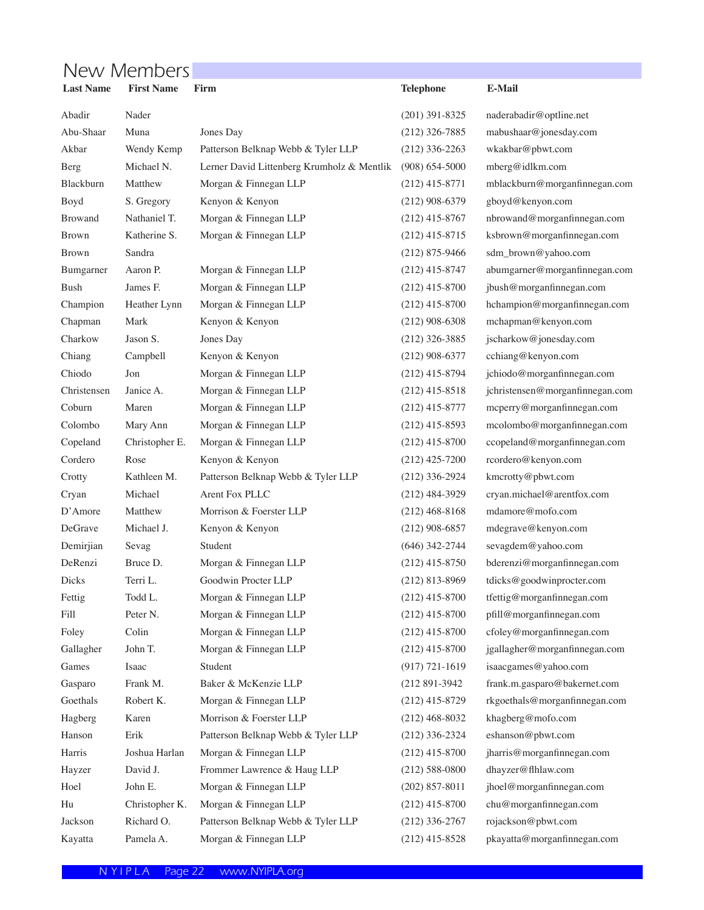# New Members

| <b>Last Name</b> | <b>First Name</b> | Firm                                       | <b>Telephone</b>   | <b>E-Mail</b>                   |
|------------------|-------------------|--------------------------------------------|--------------------|---------------------------------|
| Abadir           | Nader             |                                            | $(201)$ 391-8325   | naderabadir@optline.net         |
| Abu-Shaar        | Muna              | Jones Day                                  | $(212)$ 326-7885   | mabushaar@jonesday.com          |
| Akbar            | Wendy Kemp        | Patterson Belknap Webb & Tyler LLP         | $(212)$ 336-2263   | wkakbar@pbwt.com                |
| Berg             | Michael N.        | Lerner David Littenberg Krumholz & Mentlik | $(908) 654 - 5000$ | mberg@idlkm.com                 |
| Blackburn        | Matthew           | Morgan & Finnegan LLP                      | $(212)$ 415-8771   | mblackburn@morganfinnegan.com   |
| Boyd             | S. Gregory        | Kenyon & Kenyon                            | $(212)$ 908-6379   | gboyd@kenyon.com                |
| <b>Browand</b>   | Nathaniel T.      | Morgan & Finnegan LLP                      | $(212)$ 415-8767   | nbrowand@morganfinnegan.com     |
| <b>Brown</b>     | Katherine S.      | Morgan & Finnegan LLP                      | $(212)$ 415-8715   | ksbrown@morganfinnegan.com      |
| <b>Brown</b>     | Sandra            |                                            | $(212)$ 875-9466   | sdm_brown@yahoo.com             |
| Bumgarner        | Aaron P.          | Morgan & Finnegan LLP                      | $(212)$ 415-8747   | abumgarner@morganfinnegan.com   |
| <b>Bush</b>      | James F.          | Morgan & Finnegan LLP                      | $(212)$ 415-8700   | jbush@morganfinnegan.com        |
| Champion         | Heather Lynn      | Morgan & Finnegan LLP                      | $(212)$ 415-8700   | hchampion@morganfinnegan.com    |
| Chapman          | Mark              | Kenyon & Kenyon                            | $(212)$ 908-6308   | mchapman@kenyon.com             |
| Charkow          | Jason S.          | Jones Day                                  | $(212)$ 326-3885   | jscharkow@jonesday.com          |
| Chiang           | Campbell          | Kenyon & Kenyon                            | $(212)$ 908-6377   | cchiang@kenyon.com              |
| Chiodo           | Jon               | Morgan & Finnegan LLP                      | $(212)$ 415-8794   | jchiodo@morganfinnegan.com      |
| Christensen      | Janice A.         | Morgan & Finnegan LLP                      | $(212)$ 415-8518   | jchristensen@morganfinnegan.com |
| Coburn           | Maren             | Morgan & Finnegan LLP                      | $(212)$ 415-8777   | mcperry@morganfinnegan.com      |
| Colombo          | Mary Ann          | Morgan & Finnegan LLP                      | $(212)$ 415-8593   | mcolombo@morganfinnegan.com     |
| Copeland         | Christopher E.    | Morgan & Finnegan LLP                      | $(212)$ 415-8700   | ccopeland@morganfinnegan.com    |
| Cordero          | Rose              | Kenyon & Kenyon                            | $(212)$ 425-7200   | rcordero@kenyon.com             |
| Crotty           | Kathleen M.       | Patterson Belknap Webb & Tyler LLP         | $(212)$ 336-2924   | kmcrotty@pbwt.com               |
| Cryan            | Michael           | Arent Fox PLLC                             | $(212)$ 484-3929   | cryan.michael@arentfox.com      |
| D'Amore          | Matthew           | Morrison & Foerster LLP                    | $(212)$ 468-8168   | mdamore@mofo.com                |
| DeGrave          | Michael J.        | Kenyon & Kenyon                            | $(212)$ 908-6857   | mdegrave@kenyon.com             |
| Demirjian        | Sevag             | Student                                    | $(646)$ 342-2744   | sevagdem@yahoo.com              |
| DeRenzi          | Bruce D.          | Morgan & Finnegan LLP                      | $(212)$ 415-8750   | bderenzi@morganfinnegan.com     |
| Dicks            | Terri L.          | Goodwin Procter LLP                        | $(212)$ 813-8969   | tdicks@goodwinprocter.com       |
| Fettig           | Todd L.           | Morgan & Finnegan LLP                      | $(212)$ 415-8700   | tfettig@morganfinnegan.com      |
| Fill             | Peter N.          | Morgan & Finnegan LLP                      | $(212)$ 415-8700   | pfill@morganfinnegan.com        |
| Foley            | Colin             | Morgan & Finnegan LLP                      | $(212)$ 415-8700   | cfoley@morganfinnegan.com       |
| Gallagher        | John T.           | Morgan & Finnegan LLP                      | $(212)$ 415-8700   | jgallagher@morganfinnegan.com   |
| Games            | Isaac             | Student                                    | $(917) 721 - 1619$ | isaacgames@yahoo.com            |
| Gasparo          | Frank M.          | Baker & McKenzie LLP                       | (212 891-3942)     | frank.m.gasparo@bakernet.com    |
| Goethals         | Robert K.         | Morgan & Finnegan LLP                      | $(212)$ 415-8729   | rkgoethals@morganfinnegan.com   |
| Hagberg          | Karen             | Morrison & Foerster LLP                    | $(212)$ 468-8032   | khagberg@mofo.com               |
| Hanson           | Erik              | Patterson Belknap Webb & Tyler LLP         | $(212)$ 336-2324   | eshanson@pbwt.com               |
| Harris           | Joshua Harlan     | Morgan & Finnegan LLP                      | $(212)$ 415-8700   | jharris@morganfinnegan.com      |
| Hayzer           | David J.          | Frommer Lawrence & Haug LLP                | $(212)$ 588-0800   | dhayzer@flhlaw.com              |
| Hoel             | John E.           | Morgan & Finnegan LLP                      | $(202)$ 857-8011   | jhoel@morganfinnegan.com        |
| Hu               | Christopher K.    | Morgan & Finnegan LLP                      | $(212)$ 415-8700   | chu@morganfinnegan.com          |
| Jackson          | Richard O.        | Patterson Belknap Webb & Tyler LLP         | $(212)$ 336-2767   | rojackson@pbwt.com              |
| Kayatta          | Pamela A.         | Morgan & Finnegan LLP                      | $(212)$ 415-8528   | pkayatta@morganfinnegan.com     |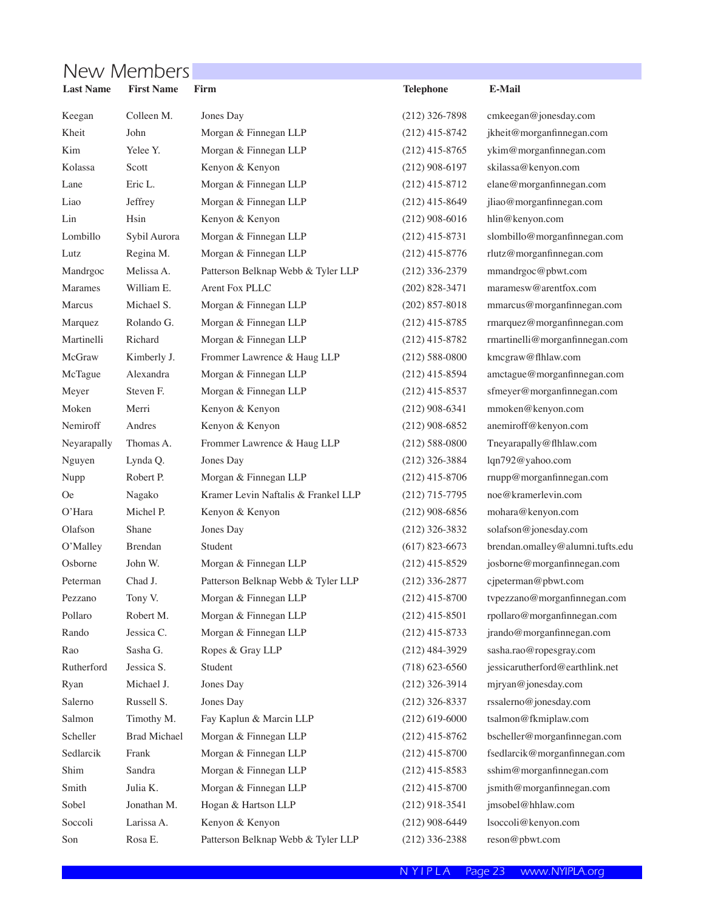# New Members

| <b>Last Name</b> | <b>First Name</b>   | Firm                                | <b>Telephone</b>   | <b>E-Mail</b>                    |
|------------------|---------------------|-------------------------------------|--------------------|----------------------------------|
| Keegan           | Colleen M.          | Jones Day                           | $(212)$ 326-7898   | cmkeegan@jonesday.com            |
| Kheit            | John                | Morgan & Finnegan LLP               | $(212)$ 415-8742   | jkheit@morganfinnegan.com        |
| Kim              | Yelee Y.            | Morgan & Finnegan LLP               | $(212)$ 415-8765   | ykim@morganfinnegan.com          |
| Kolassa          | Scott               | Kenyon & Kenyon                     | $(212)$ 908-6197   | skilassa@kenyon.com              |
| Lane             | Eric L.             | Morgan & Finnegan LLP               | $(212)$ 415-8712   | elane@morganfinnegan.com         |
| Liao             | Jeffrey             | Morgan & Finnegan LLP               | $(212)$ 415-8649   | jliao@morganfinnegan.com         |
| Lin              | Hsin                | Kenyon & Kenyon                     | $(212)$ 908-6016   | hlin@kenyon.com                  |
| Lombillo         | Sybil Aurora        | Morgan & Finnegan LLP               | $(212)$ 415-8731   | slombillo@morganfinnegan.com     |
| Lutz             | Regina M.           | Morgan & Finnegan LLP               | $(212)$ 415-8776   | rlutz@morganfinnegan.com         |
| Mandrgoc         | Melissa A.          | Patterson Belknap Webb & Tyler LLP  | $(212)$ 336-2379   | mmandrgoc@pbwt.com               |
| Marames          | William E.          | Arent Fox PLLC                      | $(202)$ 828-3471   | maramesw@arentfox.com            |
| Marcus           | Michael S.          | Morgan & Finnegan LLP               | $(202)$ 857-8018   | mmarcus@morganfinnegan.com       |
| Marquez          | Rolando G.          | Morgan & Finnegan LLP               | $(212)$ 415-8785   | rmarquez@morganfinnegan.com      |
| Martinelli       | Richard             | Morgan & Finnegan LLP               | $(212)$ 415-8782   | rmartinelli@morganfinnegan.com   |
| McGraw           | Kimberly J.         | Frommer Lawrence & Haug LLP         | $(212) 588 - 0800$ | kmcgraw@flhlaw.com               |
| McTague          | Alexandra           | Morgan & Finnegan LLP               | $(212)$ 415-8594   | amctague@morganfinnegan.com      |
| Meyer            | Steven F.           | Morgan & Finnegan LLP               | $(212)$ 415-8537   | sfmeyer@morganfinnegan.com       |
| Moken            | Merri               | Kenyon & Kenyon                     | $(212)$ 908-6341   | mmoken@kenyon.com                |
| Nemiroff         | Andres              | Kenyon & Kenyon                     | $(212)$ 908-6852   | anemiroff@kenyon.com             |
| Neyarapally      | Thomas A.           | Frommer Lawrence & Haug LLP         | $(212)$ 588-0800   | Tneyarapally@flhlaw.com          |
| Nguyen           | Lynda Q.            | Jones Day                           | $(212)$ 326-3884   | lqn792@yahoo.com                 |
| Nupp             | Robert P.           | Morgan & Finnegan LLP               | $(212)$ 415-8706   | rnupp@morganfinnegan.com         |
| 0e               | Nagako              | Kramer Levin Naftalis & Frankel LLP | $(212)$ 715-7795   | noe@kramerlevin.com              |
| O'Hara           | Michel P.           | Kenyon & Kenyon                     | $(212)$ 908-6856   | mohara@kenyon.com                |
| Olafson          | Shane               | Jones Day                           | $(212)$ 326-3832   | solafson@jonesday.com            |
| O'Malley         | Brendan             | Student                             | $(617)$ 823-6673   | brendan.omalley@alumni.tufts.edu |
| Osborne          | John W.             | Morgan & Finnegan LLP               | $(212)$ 415-8529   | josborne@morganfinnegan.com      |
| Peterman         | Chad J.             | Patterson Belknap Webb & Tyler LLP  | $(212)$ 336-2877   | cjpeterman@pbwt.com              |
| Pezzano          | Tony V.             | Morgan & Finnegan LLP               | $(212)$ 415-8700   | tvpezzano@morganfinnegan.com     |
| Pollaro          | Robert M.           | Morgan & Finnegan LLP               | $(212)$ 415-8501   | rpollaro@morganfinnegan.com      |
| Rando            | Jessica C.          | Morgan & Finnegan LLP               | $(212)$ 415-8733   | jrando@morganfinnegan.com        |
| Rao              | Sasha G.            | Ropes & Gray LLP                    | $(212)$ 484-3929   | sasha.rao@ropesgray.com          |
| Rutherford       | Jessica S.          | Student                             | $(718)$ 623-6560   | jessicarutherford@earthlink.net  |
| Ryan             | Michael J.          | Jones Day                           | $(212)$ 326-3914   | mjryan@jonesday.com              |
| Salerno          | Russell S.          | Jones Day                           | $(212)$ 326-8337   | rssalerno@jonesday.com           |
| Salmon           | Timothy M.          | Fay Kaplun & Marcin LLP             | $(212)$ 619-6000   | tsalmon@fkmiplaw.com             |
| Scheller         | <b>Brad Michael</b> | Morgan & Finnegan LLP               | $(212)$ 415-8762   | bscheller@morganfinnegan.com     |
| Sedlarcik        | Frank               | Morgan & Finnegan LLP               | $(212)$ 415-8700   | fsedlarcik@morganfinnegan.com    |
| Shim             | Sandra              | Morgan & Finnegan LLP               | $(212)$ 415-8583   | sshim@morganfinnegan.com         |
| Smith            | Julia K.            | Morgan & Finnegan LLP               | $(212)$ 415-8700   | jsmith@morganfinnegan.com        |
| Sobel            | Jonathan M.         | Hogan & Hartson LLP                 | $(212)$ 918-3541   | jmsobel@hhlaw.com                |
| Soccoli          | Larissa A.          | Kenyon & Kenyon                     | $(212)$ 908-6449   | lsoccoli@kenyon.com              |
| Son              | Rosa E.             | Patterson Belknap Webb & Tyler LLP  | $(212)$ 336-2388   | reson@pbwt.com                   |
|                  |                     |                                     |                    |                                  |